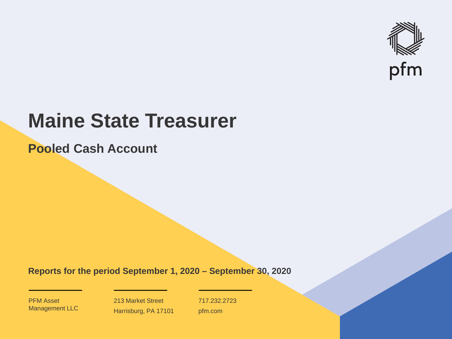

# **Maine State Treasurer**

**Pooled Cash Account**

**Reports for the period September 1, 2020 – September 30, 2020**

PFM Asset Management LLC

213 Market Street Harrisburg, PA 17101 717.232.2723 pfm.com

 $\mathcal{P}_\text{max}$  and  $\mathcal{P}_\text{max}$  is the probability of  $\mathcal{P}_\text{max}$  and  $\mathcal{P}_\text{max}$  and  $\mathcal{P}_\text{max}$  and  $\mathcal{P}_\text{max}$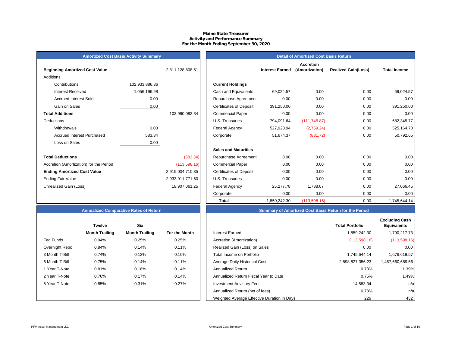# **Maine State Treasurer Activity and Performance Summary For the Month Ending September 30, 2020**

|  | <b>Amortized Cost Basis Activity Summary</b> |  |
|--|----------------------------------------------|--|
|--|----------------------------------------------|--|

| <b>Beginning Amortized Cost Value</b>   |                | 2,811,128,808.51 |                                | <b>Interest Earned</b> |
|-----------------------------------------|----------------|------------------|--------------------------------|------------------------|
| Additions                               |                |                  |                                |                        |
| Contributions                           | 102,933,886.36 |                  | <b>Current Holdings</b>        |                        |
| <b>Interest Received</b>                | 1,056,196.98   |                  | Cash and Equivalents           | 69,024.57              |
| <b>Accrued Interest Sold</b>            | 0.00           |                  | Repurchase Agreement           | 0.00                   |
| Gain on Sales                           | 0.00           |                  | <b>Certificates of Deposit</b> | 391,250.00             |
| <b>Total Additions</b>                  |                | 103,990,083.34   | <b>Commercial Paper</b>        | 0.00                   |
| <b>Deductions</b>                       |                |                  | U.S. Treasuries                | 794,091.64             |
| Withdrawals                             | 0.00           |                  | Federal Agency                 | 527,923.94             |
| <b>Accrued Interest Purchased</b>       | 583.34         |                  | Corporate                      | 51,674.37              |
| Loss on Sales                           | 0.00           |                  |                                |                        |
|                                         |                |                  | <b>Sales and Maturities</b>    |                        |
| <b>Total Deductions</b>                 |                | (583.34)         | Repurchase Agreement           | 0.00                   |
| Accretion (Amortization) for the Period |                | (113,598.16)     | <b>Commercial Paper</b>        | 0.00                   |
| <b>Ending Amortized Cost Value</b>      |                | 2,915,004,710.35 | <b>Certificates of Deposit</b> | 0.00                   |
| <b>Ending Fair Value</b>                |                | 2,933,911,771.60 | U.S. Treasuries                | 0.00                   |
| Unrealized Gain (Loss)                  |                | 18,907,061.25    | Federal Agency                 | 25,277.78              |
|                                         |                |                  |                                | $\sim$ $\sim$          |

| nualized Comparative Rates of Return |  |
|--------------------------------------|--|
|                                      |  |

|                | <b>Twelve</b>         | <b>Six</b>            |                      |
|----------------|-----------------------|-----------------------|----------------------|
|                | <b>Month Trailing</b> | <b>Month Trailing</b> | <b>For the Month</b> |
| Fed Funds      | 0.94%                 | 0.25%                 | 0.25%                |
| Overnight Repo | 0.84%                 | 0.14%                 | 0.11%                |
| 3 Month T-Bill | 0.74%                 | 0.12%                 | 0.10%                |
| 6 Month T-Bill | 0.75%                 | 0.14%                 | 0.11%                |
| 1 Year T-Note  | 0.81%                 | 0.18%                 | 0.14%                |
| 2 Year T-Note  | 0.76%                 | 0.17%                 | 0.14%                |
| 5 Year T-Note  | 0.85%                 | 0.31%                 | 0.27%                |
|                |                       |                       |                      |
|                |                       |                       |                      |

| <b>Amortized Cost Basis Activity Summary</b> |                |                  | <b>Detail of Amortized Cost Basis Return</b> |                        |                                    |                            |                     |
|----------------------------------------------|----------------|------------------|----------------------------------------------|------------------------|------------------------------------|----------------------------|---------------------|
| <b>Beginning Amortized Cost Value</b>        |                | 2,811,128,808.51 |                                              | <b>Interest Earned</b> | <b>Accretion</b><br>(Amortization) | <b>Realized Gain(Loss)</b> | <b>Total Income</b> |
| Additions                                    |                |                  |                                              |                        |                                    |                            |                     |
| Contributions                                | 102,933,886.36 |                  | <b>Current Holdings</b>                      |                        |                                    |                            |                     |
| <b>Interest Received</b>                     | 1,056,196.98   |                  | Cash and Equivalents                         | 69,024.57              | 0.00                               | 0.00                       | 69,024.57           |
| <b>Accrued Interest Sold</b>                 | 0.00           |                  | Repurchase Agreement                         | 0.00                   | 0.00                               | 0.00                       | 0.00                |
| Gain on Sales                                | 0.00           |                  | <b>Certificates of Deposit</b>               | 391,250.00             | 0.00                               | 0.00                       | 391,250.00          |
| <b>Total Additions</b>                       |                | 103,990,083.34   | <b>Commercial Paper</b>                      | 0.00                   | 0.00                               | 0.00                       | 0.00                |
| Deductions                                   |                |                  | U.S. Treasuries                              | 794,091.64             | (111, 745.87)                      | 0.00                       | 682,345.77          |
| Withdrawals                                  | 0.00           |                  | <b>Federal Agency</b>                        | 527,923.94             | (2,759.24)                         | 0.00                       | 525,164.70          |
| <b>Accrued Interest Purchased</b>            | 583.34         |                  | Corporate                                    | 51,674.37              | (881.72)                           | 0.00                       | 50,792.65           |
| Loss on Sales                                | 0.00           |                  |                                              |                        |                                    |                            |                     |
|                                              |                |                  | <b>Sales and Maturities</b>                  |                        |                                    |                            |                     |
| <b>Total Deductions</b>                      |                | (583.34)         | Repurchase Agreement                         | 0.00                   | 0.00                               | 0.00                       | 0.00                |
| Accretion (Amortization) for the Period      |                | (113, 598.16)    | <b>Commercial Paper</b>                      | 0.00                   | 0.00                               | 0.00                       | 0.00                |
| <b>Ending Amortized Cost Value</b>           |                | 2,915,004,710.35 | <b>Certificates of Deposit</b>               | 0.00                   | 0.00                               | 0.00                       | 0.00                |
| Ending Fair Value                            |                | 2,933,911,771.60 | U.S. Treasuries                              | 0.00                   | 0.00                               | 0.00                       | 0.00                |
| Unrealized Gain (Loss)                       |                | 18,907,061.25    | <b>Federal Agency</b>                        | 25,277.78              | 1,788.67                           | 0.00                       | 27,066.45           |
|                                              |                |                  | Corporate                                    | 0.00                   | 0.00                               | 0.00                       | 0.00                |
|                                              |                |                  | <b>Total</b>                                 | 1,859,242.30           | (113,598.16)                       | 0.00                       | 1,745,644.14        |

# **Annualized Comparative Rates of Return Summary of Amortized Cost Basis Return for the Period**

|                | <b>Twelve</b>         | Six                   |               |                                             | <b>Total Portfolio</b> | <b>Excluding Cash</b><br><b>Equivalents</b> |
|----------------|-----------------------|-----------------------|---------------|---------------------------------------------|------------------------|---------------------------------------------|
|                | <b>Month Trailing</b> | <b>Month Trailing</b> | For the Month | Interest Earned                             | 1,859,242.30           | 1,790,217.73                                |
| Fed Funds      | 0.94%                 | 0.25%                 | 0.25%         | Accretion (Amortization)                    | (113,598.16)           | (113,598.16)                                |
| Overnight Repo | 0.84%                 | 0.14%                 | 0.11%         | Realized Gain (Loss) on Sales               | 0.00                   | 0.00                                        |
| 3 Month T-Bill | 0.74%                 | 0.12%                 | 0.10%         | Total Income on Portfolio                   | 1.745.644.14           | 1,676,619.57                                |
| 6 Month T-Bill | 0.75%                 | 0.14%                 | 0.11%         | Average Daily Historical Cost               | 2,898,827,356.23       | 1,467,660,689.56                            |
| 1 Year T-Note  | 0.81%                 | 0.18%                 | 0.14%         | <b>Annualized Return</b>                    | 0.73%                  | 1.39%                                       |
| 2 Year T-Note  | 0.76%                 | 0.17%                 | 0.14%         | Annualized Return Fiscal Year to Date       | 0.75%                  | 1.49%                                       |
| 5 Year T-Note  | 0.85%                 | 0.31%                 | 0.27%         | <b>Investment Advisory Fees</b>             | 14,583.34              | n/a                                         |
|                |                       |                       |               | Annualized Return (net of fees)             | 0.73%                  | n/a                                         |
|                |                       |                       |               | Weighted Average Effective Duration in Days | 226                    | 432                                         |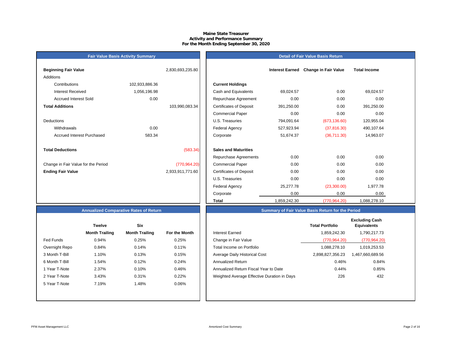# **Maine State Treasurer Activity and Performance Summary For the Month Ending September 30, 2020**

# **Fair Value Basis Activity Summary**

# **Detail of Fair Value Basis Return**

| <b>Beginning Fair Value</b>         |                | 2,830,693,235.80 |           |                                |
|-------------------------------------|----------------|------------------|-----------|--------------------------------|
| <b>Additions</b>                    |                |                  |           |                                |
| Contributions                       | 102,933,886.36 |                  |           | <b>Current Holdings</b>        |
| Interest Received                   | 1,056,196.98   |                  |           | Cash and Equivalents           |
| <b>Accrued Interest Sold</b>        | 0.00           |                  |           | Repurchase Agreeme             |
| <b>Total Additions</b>              |                | 103,990,083.34   |           | <b>Certificates of Deposit</b> |
|                                     |                |                  |           | <b>Commercial Paper</b>        |
| Deductions                          |                |                  |           | U.S. Treasuries                |
| Withdrawals                         | 0.00           |                  |           | <b>Federal Agency</b>          |
| Accrued Interest Purchased          | 583.34         |                  | Corporate |                                |
|                                     |                |                  |           |                                |
| <b>Total Deductions</b>             |                | (583.34)         |           | <b>Sales and Maturities</b>    |
|                                     |                |                  |           | Repurchase Agreeme             |
| Change in Fair Value for the Period |                | (770, 964.20)    |           | <b>Commercial Paper</b>        |
| <b>Ending Fair Value</b>            |                | 2,933,911,771.60 |           | <b>Certificates of Deposit</b> |
|                                     |                |                  |           | U.S. Treasuries                |

| Beginning Fair Value                |                | 2,830,693,235.80 |                                | <b>Interest Earned</b> | <b>Change in Fair Value</b> | <b>Total Income</b> |  |
|-------------------------------------|----------------|------------------|--------------------------------|------------------------|-----------------------------|---------------------|--|
| Additions                           |                |                  |                                |                        |                             |                     |  |
| Contributions                       | 102,933,886.36 |                  | <b>Current Holdings</b>        |                        |                             |                     |  |
| <b>Interest Received</b>            | 1,056,196.98   |                  | Cash and Equivalents           | 69,024.57              | 0.00                        | 69,024.57           |  |
| <b>Accrued Interest Sold</b>        | 0.00           |                  | Repurchase Agreement           | 0.00                   | 0.00                        | 0.00                |  |
| <b>Total Additions</b>              |                | 103,990,083.34   | <b>Certificates of Deposit</b> | 391,250.00             | 0.00                        | 391,250.00          |  |
|                                     |                |                  | <b>Commercial Paper</b>        | 0.00                   | 0.00                        | 0.00                |  |
| Deductions                          |                |                  | U.S. Treasuries                | 794,091.64             | (673, 136.60)               | 120,955.04          |  |
| Withdrawals                         | 0.00           |                  | Federal Agency                 | 527,923.94             | (37, 816.30)                | 490,107.64          |  |
| <b>Accrued Interest Purchased</b>   | 583.34         |                  | Corporate                      | 51,674.37              | (36,711.30)                 | 14,963.07           |  |
| <b>Total Deductions</b>             |                | (583.34)         | <b>Sales and Maturities</b>    |                        |                             |                     |  |
|                                     |                |                  | Repurchase Agreements          | 0.00                   | 0.00                        | 0.00                |  |
| Change in Fair Value for the Period |                | (770, 964.20)    | <b>Commercial Paper</b>        | 0.00                   | 0.00                        | 0.00                |  |
| <b>Ending Fair Value</b>            |                | 2,933,911,771.60 | <b>Certificates of Deposit</b> | 0.00                   | 0.00                        | 0.00                |  |
|                                     |                |                  | U.S. Treasuries                | 0.00                   | 0.00                        | 0.00                |  |
|                                     |                |                  | Federal Agency                 | 25,277.78              | (23,300.00)                 | 1,977.78            |  |
|                                     |                |                  | Corporate                      | 0.00                   | 0.00                        | 0.00                |  |
|                                     |                |                  | Total                          | 1,859,242.30           | (770, 964.20)               | 1,088,278.10        |  |

# **Annualized Comparative Rates of Return**

|                | <b>Twelve</b>         | <b>Six</b>            |               |
|----------------|-----------------------|-----------------------|---------------|
|                | <b>Month Trailing</b> | <b>Month Trailing</b> | For the Month |
| Fed Funds      | 0.94%                 | 0.25%                 | 0.25%         |
| Overnight Repo | 0.84%                 | 0.14%                 | 0.11%         |
| 3 Month T-Bill | 1.10%                 | 0.13%                 | 0.15%         |
| 6 Month T-Bill | 1.54%                 | 0.12%                 | 0.24%         |
| 1 Year T-Note  | 2.37%                 | 0.10%                 | 0.46%         |
| 2 Year T-Note  | 3.43%                 | 0.31%                 | 0.22%         |
| 5 Year T-Note  | 7.19%                 | 1.48%                 | 0.06%         |
|                |                       |                       |               |
|                |                       |                       |               |

| <b>Twelve</b><br><b>Month Trailing</b><br>0.94%<br>0.84% | <b>Six</b><br><b>Month Trailing</b><br>0.25% | For the Month<br>0.25% | Interest Earned<br>Change in Fair Value     | <b>Total Portfolio</b><br>1,859,242.30<br>(770, 964.20) | <b>Excluding Cash</b><br><b>Equivalents</b> |
|----------------------------------------------------------|----------------------------------------------|------------------------|---------------------------------------------|---------------------------------------------------------|---------------------------------------------|
|                                                          |                                              |                        |                                             |                                                         | 1,790,217.73                                |
|                                                          |                                              |                        |                                             |                                                         |                                             |
|                                                          |                                              |                        |                                             |                                                         | (770, 964.20)                               |
|                                                          | 0.14%                                        | 0.11%                  | Total Income on Portfolio                   | 1,088,278.10                                            | 1,019,253.53                                |
| 1.10%                                                    | 0.13%                                        | 0.15%                  | Average Daily Historical Cost               | 2,898,827,356.23                                        | 1,467,660,689.56                            |
| 1.54%                                                    | 0.12%                                        | 0.24%                  | <b>Annualized Return</b>                    | 0.46%                                                   | 0.84%                                       |
| 2.37%                                                    | 0.10%                                        | 0.46%                  | Annualized Return Fiscal Year to Date       | 0.44%                                                   | 0.85%                                       |
| 3.43%                                                    | 0.31%                                        | 0.22%                  | Weighted Average Effective Duration in Days | 226                                                     | 432                                         |
| 7.19%                                                    | 1.48%                                        | 0.06%                  |                                             |                                                         |                                             |
|                                                          |                                              |                        |                                             |                                                         |                                             |

**Summary of Fair Value Basis Return for the Period**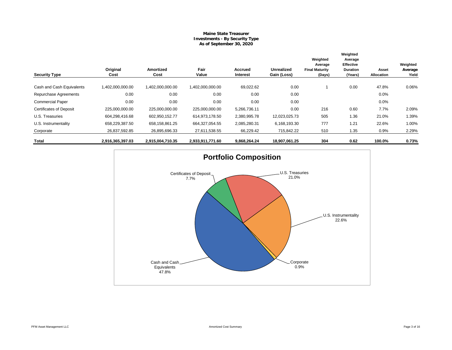# **Maine State Treasurer Investments - By Security Type As of September 30, 2020**

| <b>Security Type</b>           | Original<br>Cost | <b>Amortized</b><br>Cost | Fair<br>Value    | Accrued<br>Interest | Unrealized<br>Gain (Loss) | Weighted<br>Average<br><b>Final Maturity</b><br>(Days) | Weighted<br>Average<br><b>Effective</b><br><b>Duration</b><br>(Years) | Asset<br><b>Allocation</b> | Weighted<br>Average<br>Yield |
|--------------------------------|------------------|--------------------------|------------------|---------------------|---------------------------|--------------------------------------------------------|-----------------------------------------------------------------------|----------------------------|------------------------------|
| Cash and Cash Equivalents      | 1,402,000,000.00 | 1,402,000,000.00         | 1,402,000,000.00 | 69,022.62           | 0.00                      |                                                        | 0.00                                                                  | 47.8%                      | 0.06%                        |
| Repurchase Agreements          | 0.00             | 0.00                     | 0.00             | 0.00                | 0.00                      |                                                        |                                                                       | 0.0%                       |                              |
| <b>Commercial Paper</b>        | 0.00             | 0.00                     | 0.00             | 0.00                | 0.00                      |                                                        |                                                                       | 0.0%                       |                              |
| <b>Certificates of Deposit</b> | 225,000,000.00   | 225,000,000.00           | 225,000,000.00   | 5,266,736.11        | 0.00                      | 216                                                    | 0.60                                                                  | 7.7%                       | 2.09%                        |
| U.S. Treasuries                | 604,298,416.68   | 602,950,152.77           | 614,973,178.50   | 2,380,995.78        | 12,023,025.73             | 505                                                    | 1.36                                                                  | 21.0%                      | 1.39%                        |
| U.S. Instrumentality           | 658,229,387.50   | 658,158,861.25           | 664,327,054.55   | 2,085,280.31        | 6,168,193.30              | 777                                                    | 1.21                                                                  | 22.6%                      | 1.00%                        |
| Corporate                      | 26,837,592.85    | 26,895,696.33            | 27,611,538.55    | 66,229.42           | 715,842.22                | 510                                                    | 1.35                                                                  | 0.9%                       | 2.29%                        |
| Total                          | 2,916,365,397.03 | 2,915,004,710.35         | 2,933,911,771.60 | 9,868,264.24        | 18,907,061.25             | 304                                                    | 0.62                                                                  | 100.0%                     | 0.73%                        |

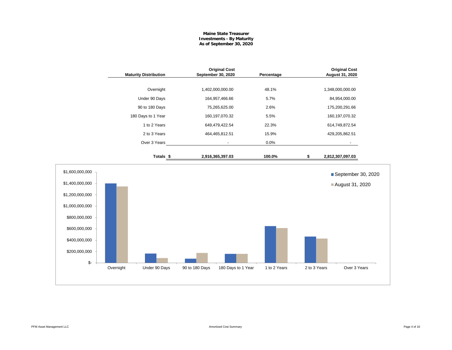# **Maine State Treasurer Investments - By Maturity As of September 30, 2020**

|                                                                                                                                                     |           | <b>Maturity Distribution</b> | September 30, 2020 | <b>Original Cost</b> | Percentage   |              | <b>Original Cost</b><br>August 31, 2020 |  |
|-----------------------------------------------------------------------------------------------------------------------------------------------------|-----------|------------------------------|--------------------|----------------------|--------------|--------------|-----------------------------------------|--|
|                                                                                                                                                     |           | Overnight                    |                    | 1,402,000,000.00     | 48.1%        |              | 1,348,000,000.00                        |  |
|                                                                                                                                                     |           | Under 90 Days                |                    | 164,957,466.66       | 5.7%         |              | 84,954,000.00                           |  |
|                                                                                                                                                     |           | 90 to 180 Days               |                    | 75,265,625.00        | 2.6%         |              | 175,200,291.66                          |  |
|                                                                                                                                                     |           | 180 Days to 1 Year           |                    | 160,197,070.32       | 5.5%         |              | 160, 197, 070.32                        |  |
|                                                                                                                                                     |           | 1 to 2 Years                 |                    | 649,479,422.54       | 22.3%        |              | 614,749,872.54                          |  |
|                                                                                                                                                     |           | 2 to 3 Years                 |                    | 464,465,812.51       | 15.9%        |              | 429,205,862.51                          |  |
|                                                                                                                                                     |           | Over 3 Years                 |                    | $\blacksquare$       | 0.0%         |              |                                         |  |
|                                                                                                                                                     |           | Totals <sub>\$</sub>         |                    | 2,916,365,397.03     | 100.0%       | \$           | 2,812,307,097.03                        |  |
| \$1,600,000,000<br>\$1,400,000,000<br>\$1,200,000,000<br>\$1,000,000,000<br>\$800,000,000<br>\$600,000,000<br>\$400,000,000<br>\$200,000,000<br>\$- |           |                              |                    |                      |              |              | September 30, 2020<br>August 31, 2020   |  |
|                                                                                                                                                     | Overnight | Under 90 Days                | 90 to 180 Days     | 180 Days to 1 Year   | 1 to 2 Years | 2 to 3 Years | Over 3 Years                            |  |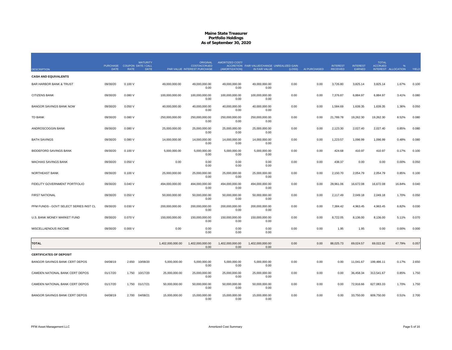|                                                   | <b>PURCHASE</b> |             | <b>MATURITY</b><br><b>COUPON DATE / CALL</b><br><b>DATE</b> |                  | <b>ORIGINAL</b><br><b>COST/ACCRUED</b> | AMORTIZED COST/          | ACCRETION FAIR VALUE/CHANGE UNREALIZED GAIN |        | AI PURCHASED | <b>INTEREST</b> | <b>INTEREST</b><br>EARNED | <b>TOTAL</b><br><b>ACCRUED</b> |                     |              |
|---------------------------------------------------|-----------------|-------------|-------------------------------------------------------------|------------------|----------------------------------------|--------------------------|---------------------------------------------|--------|--------------|-----------------|---------------------------|--------------------------------|---------------------|--------------|
| <b>DESCRIPTION</b><br><b>CASH AND EQUIVALENTS</b> | <b>DATE</b>     | <b>RATE</b> |                                                             |                  | PAR VALUE INTEREST PURCHASE            | (AMORTIZATION)           | IN FAIR VALUE                               | (LOSS) |              | <b>RECEIVED</b> |                           |                                | INTEREST ALLOCATION | <b>YIELD</b> |
| <b>BAR HARBOR BANK &amp; TRUST</b>                | 09/30/20        | 0.100V      |                                                             | 49,000,000.00    | 49,000,000.00<br>0.00                  | 49.000.000.00<br>0.00    | 49,000,000.00<br>0.00                       | 0.00   | 0.00         | 3,726.80        | 3,825.14                  | 3,825.14                       | 1.67%               | 0.100        |
| <b>CITIZENS BANK</b>                              | 09/30/20        | 0.080V      |                                                             | 100,000,000.00   | 100,000,000.00<br>0.00                 | 100,000,000.00<br>0.00   | 100,000,000.00<br>0.00                      | 0.00   | 0.00         | 7,376.87        | 6,884.97                  | 6,884.97                       | 3.41%               | 0.080        |
| <b>BANGOR SAVINGS BANK NOW</b>                    | 09/30/20        | 0.050V      |                                                             | 40,000,000.00    | 40,000,000.00<br>0.00                  | 40,000,000.00<br>0.00    | 40,000,000.00<br>0.00                       | 0.00   | 0.00         | 1,584.69        | 1,639.35                  | 1,639.35                       | 1.36%               | 0.050        |
| <b>TD BANK</b>                                    | 09/30/20        | 0.080V      |                                                             | 250,000,000.00   | 250,000,000.00<br>0.00                 | 250,000,000.00<br>0.00   | 250,000,000.00<br>0.00                      | 0.00   | 0.00         | 21,789.78       | 19,262.30                 | 19,262.30                      | 8.52%               | 0.080        |
| ANDROSCOGGIN BANK                                 | 09/30/20        | 0.080V      |                                                             | 25,000,000.00    | 25.000.000.00<br>0.00                  | 25.000.000.00<br>0.00    | 25.000.000.00<br>0.00                       | 0.00   | 0.00         | 2,123.30        | 2.027.40                  | 2.027.40                       | 0.85%               | 0.080        |
| <b>BATH SAVINGS</b>                               | 09/30/20        | 0.080V      |                                                             | 14,000,000.00    | 14,000,000.00<br>0.00                  | 14,000,000.00<br>0.00    | 14,000,000.00<br>0.00                       | 0.00   | 0.00         | 1,223.57        | 1,096.99                  | 1,096.99                       | 0.48%               | 0.080        |
| <b>BIDDEFORD SAVINGS BANK</b>                     | 09/30/20        | 0.100V      |                                                             | 5,000,000.00     | 5,000,000.00<br>0.00                   | 5,000,000.00<br>0.00     | 5,000,000.00<br>0.00                        | 0.00   | 0.00         | 424.68          | 410.97                    | 410.97                         | 0.17%               | 0.100        |
| <b>MACHIAS SAVINGS BANK</b>                       | 09/30/20        | 0.050V      |                                                             | 0.00             | 0.00<br>0.00                           | 0.00<br>0.00             | 0.00<br>0.00                                | 0.00   | 0.00         | 438.37          | 0.00                      | 0.00                           | 0.00%               | 0.050        |
| NORTHEAST BANK                                    | 09/30/20        | 0.100V      |                                                             | 25,000,000.00    | 25,000,000.00<br>0.00                  | 25,000,000.00<br>0.00    | 25,000,000.00<br>0.00                       | 0.00   | 0.00         | 2,150.70        | 2,054.79                  | 2,054.79                       | 0.85%               | 0.100        |
| FIDELITY GOVERNMENT PORTFOLIO                     | 09/30/20        | 0.040V      |                                                             | 494,000,000.00   | 494,000,000.00<br>0.00                 | 494,000,000.00<br>0.00   | 494,000,000.00<br>0.00                      | 0.00   | 0.00         | 28,961.06       | 16,672.08                 | 16,672.08                      | 16.84%              | 0.040        |
| <b>FIRST NATIONAL</b>                             | 09/30/20        | 0.050V      |                                                             | 50,000,000.00    | 50,000,000.00<br>0.00                  | 50,000,000.00<br>0.00    | 50,000,000.00<br>0.00                       | 0.00   | 0.00         | 2,117.49        | 2,049.18                  | 2,049.18                       | 1.70%               | 0.050        |
| PFM FUNDS - GOVT SELECT SERIES INST CL            | 09/30/20        | 0.030V      |                                                             | 200,000,000.00   | 200,000,000.00<br>0.00                 | 200,000,000.00<br>0.00   | 200,000,000.00<br>0.00                      | 0.00   | 0.00         | 7,384.42        | 4,963.45                  | 4,963.45                       | 6.82%               | 0.030        |
| U.S. BANK MONEY MARKET FUND                       | 09/30/20        | 0.070 V     |                                                             | 150,000,000.00   | 150,000,000.00<br>0.00                 | 150,000,000.00<br>0.00   | 150,000,000.00<br>0.00                      | 0.00   | 0.00         | 8,722.05        | 8,136.00                  | 8,136.00                       | 5.11%               | 0.070        |
| MISCELLAENOUS INCOME                              | 09/30/20        | 0.000V      |                                                             | 0.00             | 0.00<br>0.00                           | 0.00<br>0.00             | 0.00<br>0.00                                | 0.00   | 0.00         | 1.95            | 1.95                      | 0.00                           | 0.00%               | 0.000        |
| <b>TOTAL</b>                                      |                 |             |                                                             | 1,402,000,000.00 | 1,402,000,000.00<br>0.00               | 1,402,000,000.00<br>0.00 | 1,402,000,000.00<br>0.00                    | 0.00   | 0.00         | 88,025.73       | 69,024.57                 | 69,022.62                      | 47.79%              | 0.057        |
| <b>CERTIFICATES OF DEPOSIT</b>                    |                 |             |                                                             |                  |                                        |                          |                                             |        |              |                 |                           |                                |                     |              |
| BANGOR SAVINGS BANK CERT DEPOS                    | 04/08/19        | 2.650       | 10/08/20                                                    | 5,000,000.00     | 5,000,000.00<br>0.00                   | 5,000,000.00<br>0.00     | 5,000,000.00<br>0.00                        | 0.00   | 0.00         | 0.00            | 11,041.67                 | 199,486.11                     | 0.17%               | 2.650        |
| CAMDEN NATIONAL BANK CERT DEPOS                   | 01/17/20        | 1.750       | 10/17/20                                                    | 25,000,000.00    | 25,000,000.00<br>0.00                  | 25,000,000.00<br>0.00    | 25,000,000.00<br>0.00                       | 0.00   | 0.00         | 0.00            | 36,458.34                 | 313,541.67                     | 0.85%               | 1.750        |
| CAMDEN NATIONAL BANK CERT DEPOS                   | 01/17/20        | 1.750       | 01/17/21                                                    | 50,000,000.00    | 50,000,000.00<br>0.00                  | 50,000,000.00<br>0.00    | 50,000,000.00<br>0.00                       | 0.00   | 0.00         | 0.00            | 72,916.66                 | 627,083.33                     | 1.70%               | 1.750        |
| BANGOR SAVINGS BANK CERT DEPOS                    | 04/08/19        |             | 2.700 04/08/21                                              | 15,000,000.00    | 15,000,000.00<br>0.00                  | 15,000,000.00<br>0.00    | 15,000,000.00<br>0.00                       | 0.00   | 0.00         | 0.00            | 33,750.00                 | 609,750.00                     | 0.51%               | 2.700        |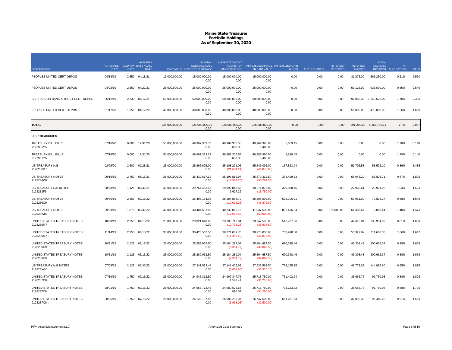| <b>DESCRIPTION</b>                         | <b>PURCHASE</b><br><b>DATE</b> | <b>RATE</b> | <b>MATURITY</b><br><b>COUPON DATE / CALL</b><br><b>DATE</b> |                | <b>ORIGINAL</b><br><b>COST/ACCRUED</b><br>PAR VALUE INTEREST PURCHASE | <b>AMORTIZED COST/</b><br>(AMORTIZATION) | ACCRETION FAIR VALUE/CHANGE UNREALIZED GAIN<br>IN FAIR VALUE | (LOSS)     | AI PURCHASED | <b>INTEREST</b><br><b>RECEIVED</b> | <b>INTEREST</b><br>EARNED | <b>TOTAL</b><br><b>ACCRUED</b><br><b>INTEREST</b> | <b>ALLOCATION</b> | YIELD |
|--------------------------------------------|--------------------------------|-------------|-------------------------------------------------------------|----------------|-----------------------------------------------------------------------|------------------------------------------|--------------------------------------------------------------|------------|--------------|------------------------------------|---------------------------|---------------------------------------------------|-------------------|-------|
| PEOPLES UNITED CERT DEPOS                  | 04/18/19                       |             | 2.550 04/18/21                                              | 15,000,000.00  | 15,000,000.00<br>0.00                                                 | 15,000,000.00<br>0.00                    | 15,000,000.00<br>0.00                                        | 0.00       | 0.00         | 0.00                               | 31,875.00                 | 565,250.00                                        | 0.51%             | 2.550 |
| PEOPLES UNITED CERT DEPOS                  | 04/22/19                       | 2.550       | 04/22/21                                                    | 25,000,000.00  | 25,000,000.00<br>0.00                                                 | 25.000.000.00<br>0.00                    | 25,000,000.00<br>0.00                                        | 0.00       | 0.00         | 0.00                               | 53,125.00                 | 935,000.00                                        | 0.85%             | 2.549 |
| BAR HARBOR BANK & TRUST CERT DEPOS         | 06/12/19                       | 2.330       | 06/12/21                                                    | 50,000,000.00  | 50,000,000.00<br>0.00                                                 | 50,000,000.00<br>0.00                    | 50,000,000.00<br>0.00                                        | 0.00       | 0.00         | 0.00                               | 97,083.33                 | 1,543,625.00                                      | 1.70%             | 2.330 |
| PEOPLES UNITED CERT DEPOS                  | 01/17/20                       | 1.650       | 01/17/22                                                    | 40,000,000.00  | 40,000,000.00<br>0.00                                                 | 40,000,000.00<br>0.00                    | 40,000,000.00<br>0.00                                        | 0.00       | 0.00         | 0.00                               | 55,000.00                 | 473,000.00                                        | 1.36%             | 1.650 |
| <b>TOTAL</b>                               |                                |             |                                                             | 225.000.000.00 | 225.000.000.00<br>0.00                                                | 225.000.000.00<br>0.00                   | 225.000.000.00<br>0.00                                       | 0.00       | 0.00         | 0.00                               |                           | 391,250.00 5,266,736.11                           | 7.7%              | 2.087 |
| <b>U.S. TREASURIES</b>                     |                                |             |                                                             |                |                                                                       |                                          |                                                              |            |              |                                    |                           |                                                   |                   |       |
| TREASURY BILL BILLS<br>912796TY5           | 07/16/20                       | 0.000       | 12/31/20                                                    | 50,000,000.00  | 49,967,333.33<br>0.00                                                 | 49,982,305.55<br>5,833.33                | 49,987,995.00<br>6,480.00                                    | 5,689.45   | 0.00         | 0.00                               | 0.00                      | 0.00                                              | 1.70%             | 0.140 |
| TREASURY BILL BILLS<br>912796TY5.          | 07/16/20                       | 0.000       | 12/31/20                                                    | 50.000.000.00  | 49.967.333.33<br>0.00                                                 | 49.982.305.55<br>5,833.33                | 49.987.995.00<br>6,480.00                                    | 5.689.45   | 0.00         | 0.00                               | 0.00                      | 0.00                                              | 1.70%             | 0.140 |
| <b>US TREASURY N/B</b><br>9128286D7        | 02/26/20                       | 2.500       | 02/28/21                                                    | 25,000,000.00  | 25,265,625.00<br>0.00                                                 | 25,108,271.06<br>(21,654.21)             | 25,246,095.00<br>(46,875.00)                                 | 137,823.94 | 0.00         | 0.00                               | 51,795.58                 | 53,522.10                                         | 0.86%             | 1.435 |
| US TREASURY NOTES<br>9128284W7             | 09/16/19                       | 2.750       | 08/15/21                                                    | 25,000,000.00  | 25,432,617.19<br>0.00                                                 | 25,196,812.97<br>(18, 567.26)            | 25,570,312.50<br>(50, 782.50)                                | 373,499.53 | 0.00         | 0.00                               | 56,046.20                 | 87,805.71                                         | 0.87%             | 1.825 |
| US TREASURY N/B NOTES<br>9128282F6         | 08/28/19                       | 1.125       | 08/31/21                                                    | 30,000,000.00  | 29,764,453.13<br>0.00                                                 | 29,892,816.55<br>9,627.26                | 30,271,875.00<br>(18,750.00)                                 | 379,058.45 | 0.00         | 0.00                               | 27,969.61                 | 28,901.93                                         | 1.03%             | 1.523 |
| <b>US TREASURY NOTES</b><br>9128286C9      | 09/30/19                       | 2.500       | 02/15/22                                                    | 25,000,000.00  | 25,493,164.06<br>0.00                                                 | 25,284,888.79<br>(17, 025.23)            | 25,808,595.00<br>(46, 875.00)                                | 523,706.21 | 0.00         | 0.00                               | 50,951.09                 | 79,823.37                                         | 0.88%             | 1.649 |
| <b>US TREASURY NOTES</b><br>912828W89      | 09/03/19                       | 1.875       | 03/31/22                                                    | 40,000,000.00  | 40,404,687.50<br>0.00                                                 | 40,235,063.16<br>(12, 915.56)            | 41,037,500.00<br>(50,000.00)                                 | 802,436.84 | 0.00         | 375,000.00                         | 61,486.67                 | 2,060.44                                          | 1.40%             | 1.473 |
| UNITED STATES TREASURY NOTES<br>9128286M7  | 10/29/19                       | 2.250       | 04/15/22                                                    | 23.000.000.00  | 23.321.640.63<br>0.00                                                 | 23.200.712.34<br>(10,733.28)             | 23.747.500.00<br>(35,937.50)                                 | 546.787.66 | 0.00         | 0.00                               | 42.418.04                 | 238.954.92                                        | 0.81%             | 1.668 |
| UNITED STATES TREASURY NOTES<br>9128286M7  | 11/14/19                       | 2.250       | 04/15/22                                                    | 30,000,000.00  | 30,426,562.50<br>0.00                                                 | 30,271,009.70<br>(14, 492.49)            | 30,975,000.00<br>(46,875.00)                                 | 703,990.30 | 0.00         | 0.00                               | 55,327.87                 | 311,680.33                                        | 1.06%             | 1.647 |
| UNITED STATES TREASURY NOTES<br>9128286U9  | 10/31/19                       |             | 2.125 05/15/22                                              | 25,000,000.00  | 25,289,062.50<br>0.00                                                 | 25, 184, 289.04<br>(9,354.77)            | 25,804,687.50<br>(39,062.50)                                 | 620,398.46 | 0.00         | 0.00                               | 43,308.43                 | 200,662.37                                        | 0.88%             | 1.658 |
| UNITED STATES TREASURY NOTES<br>9128286U9  | 10/31/19                       | 2.125       | 05/15/22                                                    | 25,000,000.00  | 25,289,062.50<br>0.00                                                 | 25, 184, 289.04<br>(9,354.77)            | 25,804,687.50<br>(39,062.50)                                 | 620,398.46 | 0.00         | 0.00                               | 43,308.43                 | 200,662.37                                        | 0.88%             | 1.658 |
| US TREASURY N/B NOTES<br>912828XG0         | 07/08/19                       | 2.125       | 06/30/22                                                    | 27,000,000.00  | 27,241,523.44<br>0.00                                                 | 27, 141, 406. 65<br>(6,659.65)           | 27,936,562.50<br>(37, 970.10)                                | 795,155.85 | 0.00         | 0.00                               | 46,773.09                 | 144,996.60                                        | 0.95%             | 1.815 |
| UNITED STATES TREASURY NOTES<br>9128287C8  | 07/19/19                       | 1.750       | 07/15/22                                                    | 25,000,000.00  | 24,945,312.50<br>0.00                                                 | 24,967,347.76<br>1,502.41                | 25,718,750.00<br>(31,250.00)                                 | 751,402.24 | 0.00         | 0.00                               | 35,665.76                 | 92,730.98                                         | 0.88%             | 1.826 |
| UNITED STATES TREASURY NOTES<br>9128287C8  | 08/01/19                       | 1.750       | 07/15/22                                                    | 25,000,000.00  | 24,967,773.44<br>0.00                                                 | 24,980,526.68<br>896.02                  | 25,718,750.00<br>(31,250.00)                                 | 738,223.32 | 0.00         | 0.00                               | 35,665.76                 | 92,730.98                                         | 0.88%             | 1.795 |
| UNITED STATES TREASURY NOTES<br>9128287C8. | 08/05/19                       |             | 1.750 07/15/22                                              | 26,000,000.00  | 26.142.187.50<br>0.00                                                 | 26,086,238.37<br>(3,968.03)              | 26,747,500.00<br>(32,500.00)                                 | 661.261.63 | 0.00         | 0.00                               | 37.092.39                 | 96.440.22                                         | 0.91%             | 1.559 |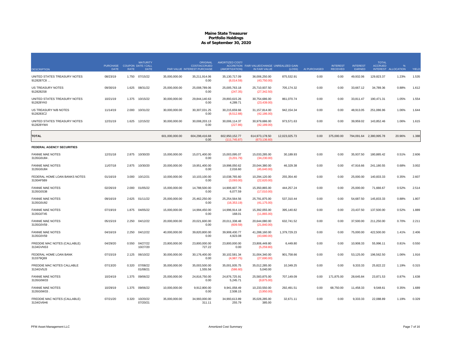|                                            | <b>PURCHASE</b> |             | <b>MATURITY</b><br><b>COUPON DATE / CALL</b> |                | <b>ORIGINAL</b><br><b>COST/ACCRUED</b> | AMORTIZED COST/                 | ACCRETION FAIR VALUE/CHANGE UNREALIZED GAIN |               |              | <b>INTEREST</b> | <b>INTEREST</b> | <b>TOTAL</b><br><b>ACCRUED</b> |                   |       |
|--------------------------------------------|-----------------|-------------|----------------------------------------------|----------------|----------------------------------------|---------------------------------|---------------------------------------------|---------------|--------------|-----------------|-----------------|--------------------------------|-------------------|-------|
| <b>DESCRIPTION</b>                         | <b>DATE</b>     | <b>RATE</b> | <b>DATE</b>                                  |                | PAR VALUE INTEREST PURCHASE            | (AMORTIZATION)                  | IN FAIR VALUE                               | (LOSS)        | AI PURCHASED | <b>RECEIVED</b> | EARNED          | <b>INTEREST</b>                | <b>ALLOCATION</b> | YIELD |
| UNITED STATES TREASURY NOTES<br>9128287C8  | 08/23/19        |             | 1.750 07/15/22                               | 35,000,000.00  | 35,211,914.06<br>0.00                  | 35, 130, 717.09<br>(6,014.59)   | 36,006,250.00<br>(43,750.00)                | 875,532.91    | 0.00         | 0.00            | 49,932.06       | 129,823.37                     | 1.23%             | 1.535 |
| <b>US TREASURY NOTES</b><br>9128282S8      | 09/30/19        | 1.625       | 08/31/22                                     | 25,000,000.00  | 25,008,789.06<br>0.00                  | 25,005,763.18<br>(247.35)       | 25,710,937.50<br>(27, 342.50)               | 705,174.32    | 0.00         | 0.00            | 33,667.12       | 34,789.36                      | 0.88%             | 1.612 |
| UNITED STATES TREASURY NOTES<br>912828YK0  | 10/21/19        | 1.375       | 10/15/22                                     | 30,000,000.00  | 29,844,140.63<br>0.00                  | 29,893,615.26<br>4,289.71       | 30,754,686.00<br>(23, 439.00)               | 861,070.74    | 0.00         | 0.00            | 33,811.47       | 190,471.31                     | 1.05%             | 1.554 |
| US TREASURY N/B NOTES<br>9128283C2         | 11/14/19        | 2.000       | 10/31/22                                     | 30,000,000.00  | 30,307,031.25<br>0.00                  | 30,215,659.66<br>(8,512.88)     | 31, 157, 814.00<br>(42, 186.00)             | 942, 154.34   | 0.00         | 0.00            | 48,913.05       | 251,086.96                     | 1.06%             | 1.644 |
| UNITED STATES TREASURY NOTES<br>912828YW4  | 12/31/19        | 1.625       | 12/15/22                                     | 30,000,000.00  | 30,008,203.13<br>0.00                  | 30,006,114.37<br>(227.86)       | 30,979,686.00<br>(42, 189.00)               | 973,571.63    | 0.00         | 0.00            | 39,959.02       | 143,852.46                     | 1.06%             | 1.615 |
| <b>TOTAL</b>                               |                 |             |                                              | 601,000,000.00 | 604,298,416.68<br>0.00                 | 602,950,152.77<br>(111, 745.87) | 614,973,178.50<br>(673, 136.60)             | 12,023,025.73 | 0.00         | 375,000.00      |                 | 794,091.64 2,380,995.78        | 20.96%            | 1.388 |
| <b>FEDERAL AGENCY SECURITIES</b>           |                 |             |                                              |                |                                        |                                 |                                             |               |              |                 |                 |                                |                   |       |
| <b>FANNIE MAE NOTES</b><br>3135G0U84       | 12/31/18        | 2.875       | 10/30/20                                     | 15,000,000.00  | 15,071,400.00<br>0.00                  | 15,003,095.07<br>(3,201.79)     | 15,033,285.00<br>(34,230.00)                | 30,189.93     | 0.00         | 0.00            | 35,937.50       | 180,885.42                     | 0.51%             | 2.606 |
| <b>FANNIE MAE NOTES</b><br>3135G0U84       | 11/07/18        | 2.875       | 10/30/20                                     | 20,000,000.00  | 19,951,400.00<br>0.00                  | 19,998,050.62<br>2,016.60       | 20,044,380.00<br>(45,640.00)                | 46,329.38     | 0.00         | 0.00            | 47,916.66       | 241,180.55                     | 0.68%             | 3.002 |
| FEDERAL HOME LOAN BANKS NOTES<br>3130AF5B9 | 01/16/19        | 3.000       | 10/12/21                                     | 10,000,000.00  | 10,103,100.00<br>0.00                  | 10,038,765.60<br>(3,093.00)     | 10,294,120.00<br>(22,620.00)                | 255,354.40    | 0.00         | 0.00            | 25,000.00       | 140,833.33                     | 0.35%             | 2.607 |
| <b>FANNIE MAE NOTES</b><br>3135G0S38       | 02/26/19        | 2.000       | 01/05/22                                     | 15,000,000.00  | 14,788,500.00<br>0.00                  | 14,906,607.76<br>6,077.59       | 15,350,865.00<br>(17,010.00)                | 444,257.24    | 0.00         | 0.00            | 25,000.00       | 71,666.67                      | 0.52%             | 2.514 |
| <b>FANNIE MAE NOTES</b><br>3135G0U92       | 09/16/19        |             | 2.625 01/11/22                               | 25,000,000.00  | 25,462,250.00<br>0.00                  | 25,254,564.56<br>(16, 353.19)   | 25,791,875.00<br>(41, 175.00)               | 537,310.44    | 0.00         | 0.00            | 54,687.50       | 145,833.33                     | 0.88%             | 1.807 |
| <b>FANNIE MAE NOTES</b><br>3135G0T45       | 07/19/19        | 1.875       | 04/05/22                                     | 15,000,000.00  | 14,994,450.00<br>0.00                  | 14,996,914.18<br>168.01         | 15,392,055.00<br>(11,865.00)                | 395,140.82    | 0.00         | 0.00            | 23,437.50       | 137,500.00                     | 0.52%             | 1.889 |
| <b>FANNIE MAE NOTES</b><br>3135G0V59.      | 05/15/19        | 2.250       | 04/12/22                                     | 20,000,000.00  | 20,021,600.00<br>0.00                  | 20,011,338.48<br>(609.59)       | 20,644,080.00<br>(21, 840.00)               | 632,741.52    | 0.00         | 0.00            | 37,500.00       | 211,250.00                     | 0.70%             | 2.211 |
| <b>FANNIE MAE NOTES</b><br>3135G0V59       | 04/16/19        |             | 2.250 04/12/22                               | 40,000,000.00  | 39,820,800.00<br>0.00                  | 39,908,430.77<br>4,923.08       | 41,288,160.00<br>(43,680.00)                | 1,379,729.23  | 0.00         | 0.00            | 75,000.00       | 422,500.00                     | 1.41%             | 2.406 |
| FREDDIE MAC NOTES (CALLABLE)<br>3134GVNS3  | 04/29/20        | 0.550       | 04/27/22<br>10/27/20                         | 23,800,000.00  | 23,800,000.00<br>727.22                | 23,800,000.00<br>0.00           | 23,806,449.80<br>(5,259.80)                 | 6,449.80      | 0.00         | 0.00            | 10,908.33       | 55,996.11                      | 0.81%             | 0.550 |
| FEDERAL HOME LOAN BANK<br>313379Q69        | 07/15/19        | 2.125       | 06/10/22                                     | 30,000,000.00  | 30,176,400.00<br>0.00                  | 30,102,581.34<br>(4,987.75)     | 31,004,340.00<br>(27,690.00)                | 901,758.66    | 0.00         | 0.00            | 53,125.00       | 196,562.50                     | 1.06%             | 1.916 |
| FREDDIE MAC NOTES CALLABLE<br>3134GV5J3    | 07/13/20        | 0.320       | 07/08/22<br>01/08/21                         | 35,000,000.00  | 35,003,500.00<br>1,555.56              | 35,001,935.75<br>(586.60)       | 35,012,285.00<br>5,040.00                   | 10,349.25     | 0.00         | 0.00            | 9,333.33        | 25,822.22                      | 1.19%             | 0.315 |
| <b>FANNIE MAE NOTES</b><br>3135G0W33       | 10/24/19        | 1.375       | 09/06/22                                     | 25,000,000.00  | 24,816,750.00<br>0.00                  | 24.876.725.91<br>5,245.71       | 25,583,875.00<br>(9,875.00)                 | 707,149.09    | 0.00         | 171.875.00      | 28,645.84       | 23,871.53                      | 0.87%             | 1.638 |
| <b>FANNIE MAE NOTES</b><br>3135G0W33       | 10/29/19        | 1.375       | 09/06/22                                     | 10,000,000.00  | 9,912,800.00<br>0.00                   | 9,941,058.49<br>2,508.15        | 10,233,550.00<br>(3,950.00)                 | 292,491.51    | 0.00         | 68,750.00       | 11,458.33       | 9,548.61                       | 0.35%             | 1.689 |
| FREDDIE MAC NOTES (CALLABLE)<br>3134GV6H6  | 07/21/20        | 0.320       | 10/20/22<br>07/20/21                         | 35,000,000.00  | 34,993,000.00<br>311.11                | 34,993,613.89<br>255.79         | 35,026,285.00<br>385.00                     | 32,671.11     | 0.00         | 0.00            | 9,333.33        | 22,088.89                      | 1.19%             | 0.329 |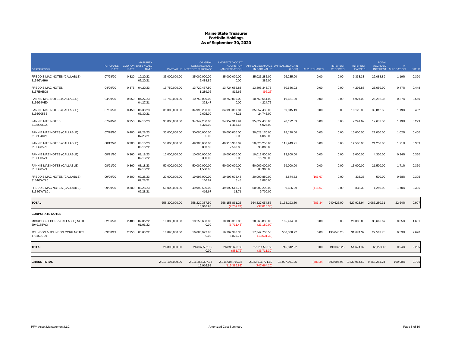| <b>DESCRIPTION</b>                          | PURCHASE COUPON DATE / CALL<br><b>DATE</b> | <b>RATE</b> | <b>MATURITY</b><br><b>DATE</b> |                  | <b>ORIGINAL</b><br><b>COST/ACCRUED</b><br>PAR VALUE INTEREST PURCHASE | <b>AMORTIZED COST/</b><br>(AMORTIZATION) | ACCRETION FAIR VALUE/CHANGE UNREALIZED GAIN<br>IN FAIR VALUE | (LOSS)        | AI PURCHASED | <b>INTEREST</b><br><b>RECEIVED</b> | <b>INTEREST</b><br>EARNED              | <b>TOTAL</b><br><b>ACCRUED</b> | %<br><b>INTEREST ALLOCATION</b> | YIELD |
|---------------------------------------------|--------------------------------------------|-------------|--------------------------------|------------------|-----------------------------------------------------------------------|------------------------------------------|--------------------------------------------------------------|---------------|--------------|------------------------------------|----------------------------------------|--------------------------------|---------------------------------|-------|
| FREDDIE MAC NOTES (CALLABLE)<br>3134GV6H6   | 07/28/20                                   | 0.320       | 10/20/22<br>07/20/21           | 35,000,000.00    | 35,000,000.00<br>2,488.89                                             | 35,000,000.00<br>0.00                    | 35,026,285.00<br>385.00                                      | 26,285.00     | 0.00         | 0.00                               | 9,333.33                               | 22,088.89                      | 1.19%                           | 0.320 |
| <b>FREDDIE MAC NOTES</b><br>3137EAEQ8       | 04/29/20                                   | 0.375       | 04/20/23                       | 13,750,000.00    | 13,720,437.50<br>1,289.06                                             | 13,724,656.83<br>816.65                  | 13,805,343.75<br>(96.25)                                     | 80,686.92     | 0.00         | 0.00                               | 4,296.88                               | 23,059.90                      | 0.47%                           | 0.448 |
| FANNIE MAE NOTES (CALLABLE)<br>3136G4VE0    | 04/29/20                                   | 0.550       | 04/27/23<br>04/27/21           | 10,750,000.00    | 10,750,000.00<br>328.47                                               | 10,750,000.00<br>0.00                    | 10,769,651.00<br>4,224.75                                    | 19,651.00     | 0.00         | 0.00                               | 4,927.08                               | 25,292.36                      | 0.37%                           | 0.550 |
| FANNIE MAE NOTES (CALLABLE)<br>3135G05B5    | 07/06/20                                   | 0.450       | 06/30/23<br>06/30/21           | 35,000,000.00    | 34,998,250.00<br>2,625.00                                             | 34.998.389.81<br>48.21                   | 35,057,435.00<br>24,745.00                                   | 59.045.19     | 0.00         | 0.00                               | 13,125.00                              | 39,812.50                      | 1.19%                           | 0.452 |
| <b>FANNIE MAE NOTES</b><br>3135G05G4        | 07/28/20                                   | 0.250       | 07/10/23                       | 35,000,000.00    | 34,949,250.00<br>4,375.00                                             | 34.952.312.91<br>1,413.65                | 35.022.435.00<br>4,025.00                                    | 70,122.09     | 0.00         | 0.00                               | 7,291.67                               | 19,687.50                      | 1.19%                           | 0.299 |
| FANNIE MAE NOTES (CALLABLE)<br>3136G4D26    | 07/28/20                                   | 0.400       | 07/28/23<br>07/28/21           | 30,000,000.00    | 30.000.000.00<br>0.00                                                 | 30.000.000.00<br>0.00                    | 30.028.170.00<br>4,050.00                                    | 28.170.00     | 0.00         | 0.00                               | 10,000.00                              | 21,000.00                      | 1.02%                           | 0.400 |
| FANNIE MAE NOTES (CALLABLE)<br>3135G05R0    | 08/12/20                                   | 0.300       | 08/10/23<br>08/10/22           | 50,000,000.00    | 49,906,000.00<br>833.33                                               | 49,910,300.09<br>2,580.05                | 50,026,250.00<br>90,000.00                                   | 115,949.91    | 0.00         | 0.00                               | 12,500.00                              | 21,250.00                      | 1.71%                           | 0.363 |
| FANNIE MAE NOTES (CALLABLE)<br>3135G05V1    | 08/21/20                                   | 0.360       | 08/18/23<br>02/18/22           | 10,000,000.00    | 10,000,000.00<br>300.00                                               | 10,000,000.00<br>0.00                    | 10,013,800.00<br>16,780.00                                   | 13,800.00     | 0.00         | 0.00                               | 3,000.00                               | 4,300.00                       | 0.34%                           | 0.360 |
| FANNIE MAE NOTES (CALLABLE)<br>3135G05V1.   | 08/21/20                                   | 0.360       | 08/18/23<br>02/18/22           | 50,000,000.00    | 50,000,000.00<br>1.500.00                                             | 50,000,000.00<br>0.00                    | 50,069,000.00<br>83.900.00                                   | 69,000.00     | 0.00         | 0.00                               | 15,000.00                              | 21,500.00                      | 1.71%                           | 0.360 |
| FREDDIE MAC NOTES (CALLABLE)<br>3134GWTL0   | 09/29/20                                   | 0.300       | 09/28/23<br>09/28/21           | 20,000,000.00    | 19,997,000.00<br>166.67                                               | 19,997,005.48<br>5.48                    | 20,000,880.00<br>3,880.00                                    | 3,874.52      | (166.67)     | 0.00                               | 333.33                                 | 500.00                         | 0.68%                           | 0.305 |
| FREDDIE MAC NOTES (CALLABLE)<br>3134GWTL0.  | 09/29/20                                   | 0.300       | 09/28/23<br>09/28/21           | 50,000,000.00    | 49,992,500.00<br>416.67                                               | 49,992,513.71<br>13.71                   | 50,002,200.00<br>9,700.00                                    | 9.686.29      | (416.67)     | 0.00                               | 833.33                                 | 1,250.00                       | 1.70%                           | 0.305 |
| <b>TOTAL</b>                                |                                            |             |                                | 658,300,000.00   | 658,229,387.50<br>16.916.98                                           | 658, 158, 861.25<br>(2.759.24)           | 664,327,054.55<br>(37.816.30)                                | 6,168,193.30  | (583.34)     | 240,625.00                         | 527,923.94                             | 2,085,280.31                   | 22.64%                          | 0.997 |
| <b>CORPORATE NOTES</b>                      |                                            |             |                                |                  |                                                                       |                                          |                                                              |               |              |                                    |                                        |                                |                                 |       |
| MICROSOFT CORP (CALLABLE) NOTE<br>594918BW3 | 02/06/20                                   | 2.400       | 02/06/22<br>01/06/22           | 10,000,000.00    | 10,156,600.00<br>0.00                                                 | 10,103,356.00<br>(6,711.43)              | 10,268,830.00<br>(23, 180.00)                                | 165,474.00    | 0.00         | 0.00                               | 20,000.00                              | 36,666.67                      | 0.35%                           | 1.601 |
| JOHNSON & JOHNSON CORP NOTES<br>478160CD4   | 03/08/19                                   | 2.250       | 03/03/22                       | 16,893,000.00    | 16,680,992.85<br>0.00                                                 | 16,792,340.33<br>5,829.71                | 17,342,708.55<br>(13,531.30)                                 | 550,368.22    | 0.00         | 190,046.25                         | 31,674.37                              | 29,562.75                      | 0.59%                           | 2.690 |
| <b>TOTAL</b>                                |                                            |             |                                | 26.893.000.00    | 26.837.592.85<br>0.00                                                 | 26.895.696.33<br>(881.72)                | 27,611,538.55<br>(36,711.30)                                 | 715.842.22    | 0.00         | 190.046.25                         | 51.674.37                              | 66.229.42                      | 0.94%                           | 2.285 |
| <b>GRAND TOTAL</b>                          |                                            |             |                                | 2,913,193,000.00 | 2.916.365.397.03<br>16,916.98                                         | 2.915.004.710.35<br>(115, 386.83)        | 2,933,911,771.60<br>(747, 664.20)                            | 18.907.061.25 | (583.34)     |                                    | 893.696.98  1.833.964.52  9.868.264.24 |                                | 100.00%                         | 0.725 |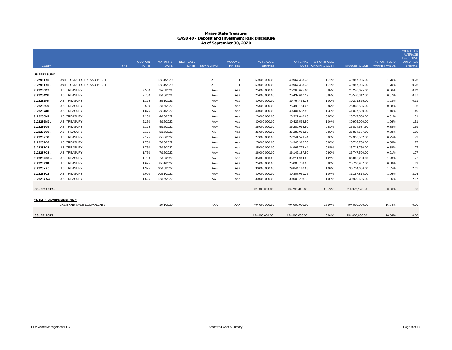| <b>CUSIP</b>                   |                             | <b>TYPE</b> | <b>COUPON</b><br><b>RATE</b> | <b>MATURITY</b><br><b>DATE</b> | <b>NEXT CALL</b> | DATE S&P RATING | MOODYS'<br><b>RATING</b> | PAR VALUE/<br><b>SHARES</b> | ORIGINAL        | % PORTFOLIO<br>COST ORIGINAL COST | <b>MARKET VALUE</b> | % PORTFOLIO<br><b>MARKET VALUE</b> | <b>WEIGHTED</b><br>AVERAGE<br><b>EFFECTIVE</b><br><b>DURATION</b><br>(YEARS) |
|--------------------------------|-----------------------------|-------------|------------------------------|--------------------------------|------------------|-----------------|--------------------------|-----------------------------|-----------------|-----------------------------------|---------------------|------------------------------------|------------------------------------------------------------------------------|
| <b>US TREASURY</b>             |                             |             |                              |                                |                  |                 |                          |                             |                 |                                   |                     |                                    |                                                                              |
| 912796TY5                      | UNITED STATES TREASURY BILL |             |                              | 12/31/2020                     |                  | $A-1+$          | $P-1$                    | 50,000,000.00               | 49,967,333.33   | 1.71%                             | 49,987,995.00       | 1.70%                              | 0.26                                                                         |
| 912796TY5.                     | UNITED STATES TREASURY BILL |             |                              | 12/31/2020                     |                  | $A-1+$          | $P-1$                    | 50,000,000.00               | 49,967,333.33   | 1.71%                             | 49,987,995.00       | 1.70%                              | 0.26                                                                         |
| 9128286D7                      | <b>U.S. TREASURY</b>        |             | 2.500                        | 2/28/2021                      |                  | $AA+$           | Aaa                      | 25,000,000.00               | 25,265,625.00   | 0.87%                             | 25,246,095.00       | 0.86%                              | 0.42                                                                         |
| 9128284W7                      | <b>U.S. TREASURY</b>        |             | 2.750                        | 8/15/2021                      |                  | AA+             | Aaa                      | 25,000,000.00               | 25,432,617.19   | 0.87%                             | 25,570,312.50       | 0.87%                              | 0.87                                                                         |
| 9128282F6                      | <b>U.S. TREASURY</b>        |             | 1.125                        | 8/31/2021                      |                  | AA+             | Aaa                      | 30,000,000.00               | 29,764,453.13   | 1.02%                             | 30,271,875.00       | 1.03%                              | 0.91                                                                         |
| 9128286C9                      | <b>U.S. TREASURY</b>        |             | 2.500                        | 2/15/2022                      |                  | $AA+$           | Aaa                      | 25,000,000.00               | 25,493,164.06   | 0.87%                             | 25,808,595.00       | 0.88%                              | 1.36                                                                         |
| 912828W89                      | <b>U.S. TREASURY</b>        |             | 1.875                        | 3/31/2022                      |                  | AA+             | Aaa                      | 40,000,000.00               | 40,404,687.50   | 1.39%                             | 41,037,500.00       | 1.40%                              | 1.49                                                                         |
| 9128286M7                      | <b>U.S. TREASURY</b>        |             | 2.250                        | 4/15/2022                      |                  | AA+             | Aaa                      | 23,000,000.00               | 23,321,640.63   | 0.80%                             | 23,747,500.00       | 0.81%                              | 1.51                                                                         |
| 9128286M7.                     | <b>U.S. TREASURY</b>        |             | 2.250                        | 4/15/2022                      |                  | AA+             | Aaa                      | 30,000,000.00               | 30,426,562.50   | 1.04%                             | 30,975,000.00       | 1.06%                              | 1.51                                                                         |
| 9128286U9                      | <b>U.S. TREASURY</b>        |             | 2.125                        | 5/15/2022                      |                  | AA+             | Aaa                      | 25,000,000.00               | 25,289,062.50   | 0.87%                             | 25,804,687.50       | 0.88%                              | 1.59                                                                         |
| 9128286U9.                     | <b>U.S. TREASURY</b>        |             | 2.125                        | 5/15/2022                      |                  | AA+             | Aaa                      | 25,000,000.00               | 25,289,062.50   | 0.87%                             | 25,804,687.50       | 0.88%                              | 1.59                                                                         |
| 912828XG0                      | <b>U.S. TREASURY</b>        |             | 2.125                        | 6/30/2022                      |                  | AA+             | Aaa                      | 27,000,000.00               | 27,241,523.44   | 0.93%                             | 27,936,562.50       | 0.95%                              | 1.72                                                                         |
| 9128287C8                      | <b>U.S. TREASURY</b>        |             | 1.750                        | 7/15/2022                      |                  | AA+             | Aaa                      | 25,000,000.00               | 24,945,312.50   | 0.86%                             | 25,718,750.00       | 0.88%                              | 1.77                                                                         |
| 9128287C8                      | <b>U.S. TREASURY</b>        |             | 1.750                        | 7/15/2022                      |                  | AA+             | Aaa                      | 25,000,000.00               | 24,967,773.44   | 0.86%                             | 25,718,750.00       | 0.88%                              | 1.77                                                                         |
| 9128287C8                      | <b>U.S. TREASURY</b>        |             | 1.750                        | 7/15/2022                      |                  | AA+             | Aaa                      | 26,000,000.00               | 26, 142, 187.50 | 0.90%                             | 26,747,500.00       | 0.91%                              | 1.77                                                                         |
| 9128287C8                      | <b>U.S. TREASURY</b>        |             | 1.750                        | 7/15/2022                      |                  | AA+             | Aaa                      | 35,000,000.00               | 35,211,914.06   | 1.21%                             | 36,006,250.00       | 1.23%                              | 1.77                                                                         |
| 9128282S8                      | <b>U.S. TREASURY</b>        |             | 1.625                        | 8/31/2022                      |                  | AA+             | Aaa                      | 25,000,000.00               | 25,008,789.06   | 0.86%                             | 25,710,937.50       | 0.88%                              | 1.89                                                                         |
| 912828YK0                      | <b>U.S. TREASURY</b>        |             | 1.375                        | 10/15/2022                     |                  | $AA+$           | Aaa                      | 30,000,000.00               | 29,844,140.63   | 1.02%                             | 30,754,686.00       | 1.05%                              | 2.01                                                                         |
| 9128283C2                      | <b>U.S. TREASURY</b>        |             | 2.000                        | 10/31/2022                     |                  | AA+             | Aaa                      | 30,000,000.00               | 30,307,031.25   | 1.04%                             | 31,157,814.00       | 1.06%                              | 2.04                                                                         |
| 912828YW4                      | <b>U.S. TREASURY</b>        |             | 1.625                        | 12/15/2022                     |                  | AA+             | Aaa                      | 30,000,000.00               | 30,008,203.13   | 1.03%                             | 30,979,686.00       | 1.06%                              | 2.17                                                                         |
|                                |                             |             |                              |                                |                  |                 |                          |                             |                 |                                   |                     |                                    |                                                                              |
| <b>ISSUER TOTAL</b>            |                             |             |                              |                                |                  |                 |                          | 601,000,000.00              | 604,298,416.68  | 20.72%                            | 614,973,178.50      | 20.96%                             | 1.36                                                                         |
| <b>FIDELITY GOVERNMENT MMF</b> | CASH AND CASH EQUIVALENTS   |             |                              | 10/1/2020                      |                  |                 | AAA                      | 494,000,000.00              | 494,000,000.00  | 16.94%                            | 494,000,000.00      | 16.84%                             |                                                                              |
|                                |                             |             |                              |                                |                  | AAA             |                          |                             |                 |                                   |                     |                                    | 0.00                                                                         |
| <b>ISSUER TOTAL</b>            |                             |             |                              |                                |                  |                 |                          | 494,000,000.00              | 494,000,000.00  | 16.94%                            | 494,000,000.00      | 16.84%                             | 0.00                                                                         |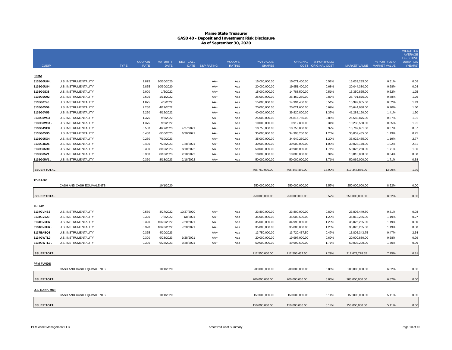|                        |                                              |             | <b>COUPON</b>  | <b>MATURITY</b>        | <b>NEXT CALL</b> |                       | MOODYS'       | <b>PAR VALUE/</b>              |                | ORIGINAL % PORTFOLIO |                           | % PORTFOLIO    | <b>WEIGHTED</b><br><b>AVERAGE</b><br><b>EFFECTIVE</b><br><b>DURATION</b> |
|------------------------|----------------------------------------------|-------------|----------------|------------------------|------------------|-----------------------|---------------|--------------------------------|----------------|----------------------|---------------------------|----------------|--------------------------------------------------------------------------|
| <b>CUSIP</b>           |                                              | <b>TYPE</b> | <b>RATE</b>    | <b>DATE</b>            | <b>DATE</b>      | <b>S&amp;P RATING</b> | <b>RATING</b> | <b>SHARES</b>                  |                | COST ORIGINAL COST   | MARKET VALUE MARKET VALUE |                | (YEARS)                                                                  |
| <b>FNMA</b>            |                                              |             |                |                        |                  |                       |               |                                |                |                      |                           |                |                                                                          |
| 3135G0U84              | <b>U.S. INSTRUMENTALITY</b>                  |             | 2.875          | 10/30/2020             |                  | AA+                   | Aaa           | 15,000,000.00                  | 15,071,400.00  | 0.52%                | 15,033,285.00             | 0.51%          | 0.08                                                                     |
| 3135G0U84              | U.S. INSTRUMENTALITY                         |             | 2.875          | 10/30/2020             |                  | AA+                   | Aaa           | 20,000,000.00                  | 19,951,400.00  | 0.68%                | 20,044,380.00             | 0.68%          | 0.08                                                                     |
| 3135G0S38              | U.S. INSTRUMENTALITY                         |             | 2.000          | 1/5/2022               |                  | AA+                   | Aaa           | 15,000,000.00                  | 14,788,500.00  | 0.51%                | 15,350,865.00             | 0.52%          | 1.25                                                                     |
| 3135G0U92              | U.S. INSTRUMENTALITY                         |             | 2.625          | 1/11/2022              |                  | AA+                   | Aaa           | 25,000,000.00                  | 25,462,250.00  | 0.87%                | 25,791,875.00             | 0.88%          | 1.26                                                                     |
| 3135G0T45              | U.S. INSTRUMENTALITY                         |             | 1.875          | 4/5/2022               |                  | AA+                   | Aaa           | 15,000,000.00                  | 14,994,450.00  | 0.51%                | 15,392,055.00             | 0.52%          | 1.49                                                                     |
| 3135G0V59              | U.S. INSTRUMENTALITY                         |             | 2.250          | 4/12/2022              |                  | AA+                   | Aaa           | 20,000,000.00                  | 20,021,600.00  | 0.69%                | 20,644,080.00             | 0.70%          | 1.50                                                                     |
| 3135G0V59              | U.S. INSTRUMENTALITY                         |             | 2.250          | 4/12/2022              |                  | AA+                   | Aaa           | 40,000,000.00                  | 39,820,800.00  | 1.37%                | 41,288,160.00             | 1.41%          | 1.50                                                                     |
| 3135G0W33              | U.S. INSTRUMENTALITY                         |             | 1.375          | 9/6/2022               |                  | AA+                   | Aaa           | 25,000,000.00                  | 24,816,750.00  | 0.85%                | 25,583,875.00             | 0.87%          | 1.91                                                                     |
| 3135G0W33.             | U.S. INSTRUMENTALITY                         |             | 1.375          | 9/6/2022               |                  | AA+                   | Aaa           | 10,000,000.00                  | 9,912,800.00   | 0.34%                | 10,233,550.00             | 0.35%          | 1.91                                                                     |
| 3136G4VE0              | U.S. INSTRUMENTALITY                         |             | 0.550          | 4/27/2023              | 4/27/2021        | AA+                   | Aaa           | 10,750,000.00                  | 10,750,000.00  | 0.37%                | 10,769,651.00             | 0.37%          | 0.57                                                                     |
| 3135G05B5              | U.S. INSTRUMENTALITY                         |             | 0.450          | 6/30/2023              | 6/30/2021        | AA+                   | Aaa           | 35,000,000.00                  | 34,998,250.00  | 1.20%                | 35,057,435.00             | 1.19%          | 0.75                                                                     |
| 3135G05G4              | U.S. INSTRUMENTALITY                         |             | 0.250          | 7/10/2023              |                  | AA+                   | Aaa           | 35,000,000.00                  | 34,949,250.00  | 1.20%                | 35,022,435.00             | 1.19%          | 2.77                                                                     |
| 3136G4D26              | U.S. INSTRUMENTALITY                         |             | 0.400          | 7/28/2023              | 7/28/2021        | AA+                   | Aaa           | 30,000,000.00                  | 30,000,000.00  | 1.03%                | 30,028,170.00             | 1.02%          | 2.81                                                                     |
| 3135G05R0              | U.S. INSTRUMENTALITY                         |             | 0.300          | 8/10/2023              | 8/10/2022        | AA+                   | Aaa           | 50,000,000.00                  | 49,906,000.00  | 1.71%                | 50,026,250.00             | 1.71%          | 1.86                                                                     |
| 3135G05V1              | U.S. INSTRUMENTALITY                         |             | 0.360          | 8/18/2023              | 2/18/2022        | AA+                   | Aaa           | 10,000,000.00                  | 10,000,000.00  | 0.34%                | 10,013,800.00             | 0.34%          | 0.38                                                                     |
| 3135G05V1              | U.S. INSTRUMENTALITY                         |             | 0.360          | 8/18/2023              | 2/18/2022        | AA+                   | Aaa           | 50,000,000.00                  | 50,000,000.00  | 1.71%                | 50,069,000.00             | 1.71%          | 0.38                                                                     |
|                        |                                              |             |                |                        |                  |                       |               |                                |                |                      |                           |                |                                                                          |
| <b>ISSUER TOTAL</b>    |                                              |             |                |                        |                  |                       |               | 405,750,000.00                 | 405,443,450.00 | 13.90%               | 410,348,866.00            | 13.99%         | 1.39                                                                     |
|                        |                                              |             |                |                        |                  |                       |               |                                |                |                      |                           |                |                                                                          |
| <b>TD BANK</b>         |                                              |             |                |                        |                  |                       |               |                                |                |                      |                           |                |                                                                          |
|                        | CASH AND CASH EQUIVALENTS                    |             |                | 10/1/2020              |                  |                       |               | 250,000,000.00                 | 250,000,000.00 | 8.57%                | 250,000,000.00            | 8.52%          | 0.00                                                                     |
|                        |                                              |             |                |                        |                  |                       |               |                                |                |                      |                           |                |                                                                          |
| <b>ISSUER TOTAL</b>    |                                              |             |                |                        |                  |                       |               | 250,000,000.00                 | 250,000,000.00 | 8.57%                | 250,000,000.00            | 8.52%          | 0.00                                                                     |
|                        |                                              |             |                |                        |                  |                       |               |                                |                |                      |                           |                |                                                                          |
| <b>FHLMC</b>           |                                              |             |                |                        |                  |                       |               |                                |                |                      |                           |                |                                                                          |
| 3134GVNS3              | U.S. INSTRUMENTALITY                         |             | 0.550          | 4/27/2022              | 10/27/2020       | AA+                   | Aaa           | 23,800,000.00                  | 23,800,000.00  | 0.82%                | 23,806,449.80             | 0.81%          | 0.08                                                                     |
| 3134GV5J3              | U.S. INSTRUMENTALITY                         |             | 0.320          | 7/8/2022               | 1/8/2021         | AA+                   | Aaa           | 35,000,000.00                  | 35,003,500.00  | 1.20%                | 35,012,285.00             | 1.19%          | 0.27                                                                     |
| 3134GV6H6              | U.S. INSTRUMENTALITY                         |             | 0.320          | 10/20/2022             | 7/20/2021        | AA+                   | Aaa           | 35,000,000.00                  | 34,993,000.00  | 1.20%                | 35,026,285.00             | 1.19%          | 0.80                                                                     |
| 3134GV6H6.             | U.S. INSTRUMENTALITY                         |             | 0.320          | 10/20/2022             | 7/20/2021        | AA+                   | Aaa           | 35,000,000.00                  | 35,000,000.00  | 1.20%                | 35,026,285.00             | 1.19%          | 0.80                                                                     |
| 3137EAEQ8<br>3134GWTL0 | U.S. INSTRUMENTALITY<br>U.S. INSTRUMENTALITY |             | 0.375<br>0.300 | 4/20/2023<br>9/28/2023 | 9/28/2021        | AA+<br>AA+            | Aaa           | 13,750,000.00<br>20,000,000.00 | 13,720,437.50  | 0.47%<br>0.69%       | 13,805,343.75             | 0.47%<br>0.68% | 2.54<br>0.99                                                             |
| 3134GWTL0              |                                              |             | 0.300          |                        |                  |                       | Aaa           |                                | 19,997,000.00  |                      | 20,000,880.00             | 1.70%          | 0.99                                                                     |
|                        | U.S. INSTRUMENTALITY                         |             |                | 9/28/2023              | 9/28/2021        | AA+                   | Aaa           | 50,000,000.00                  | 49,992,500.00  | 1.71%                | 50,002,200.00             |                |                                                                          |
| <b>ISSUER TOTAL</b>    |                                              |             |                |                        |                  |                       |               | 212,550,000.00                 | 212,506,437.50 | 7.29%                | 212,679,728.55            | 7.25%          | 0.81                                                                     |
|                        |                                              |             |                |                        |                  |                       |               |                                |                |                      |                           |                |                                                                          |
| <b>PFM FUNDS</b>       |                                              |             |                |                        |                  |                       |               |                                |                |                      |                           |                |                                                                          |
|                        | CASH AND CASH EQUIVALENTS                    |             |                | 10/1/2020              |                  |                       |               | 200,000,000.00                 | 200,000,000.00 | 6.86%                | 200,000,000.00            | 6.82%          | 0.00                                                                     |
|                        |                                              |             |                |                        |                  |                       |               |                                |                |                      |                           |                |                                                                          |
| <b>ISSUER TOTAL</b>    |                                              |             |                |                        |                  |                       |               | 200,000,000.00                 | 200,000,000.00 | 6.86%                | 200,000,000.00            | 6.82%          | 0.00                                                                     |
|                        |                                              |             |                |                        |                  |                       |               |                                |                |                      |                           |                |                                                                          |
| <b>U.S. BANK MMF</b>   |                                              |             |                |                        |                  |                       |               |                                |                |                      |                           |                |                                                                          |
|                        | CASH AND CASH EQUIVALENTS                    |             |                | 10/1/2020              |                  |                       |               | 150,000,000.00                 | 150,000,000.00 | 5.14%                | 150,000,000.00            | 5.11%          | 0.00                                                                     |
|                        |                                              |             |                |                        |                  |                       |               |                                |                |                      |                           |                |                                                                          |
| <b>ISSUER TOTAL</b>    |                                              |             |                |                        |                  |                       |               | 150,000,000.00                 | 150,000,000.00 | 5.14%                | 150,000,000.00            | 5.11%          | 0.00                                                                     |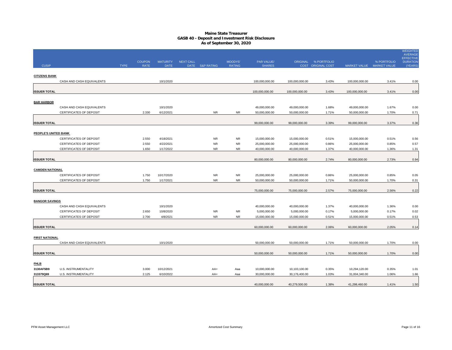|                             |                                |             |               |                 |                  |                       |               |                |                |                    |                |                           | <b>WEIGHTED</b><br><b>AVERAGE</b>   |
|-----------------------------|--------------------------------|-------------|---------------|-----------------|------------------|-----------------------|---------------|----------------|----------------|--------------------|----------------|---------------------------|-------------------------------------|
|                             |                                |             | <b>COUPON</b> | <b>MATURITY</b> | <b>NEXT CALL</b> |                       | MOODYS'       | PAR VALUE/     | ORIGINAL       | % PORTFOLIO        |                | % PORTFOLIO               | <b>EFFECTIVE</b><br><b>DURATION</b> |
| <b>CUSIP</b>                |                                | <b>TYPE</b> | <b>RATE</b>   | <b>DATE</b>     | <b>DATE</b>      | <b>S&amp;P RATING</b> | <b>RATING</b> | <b>SHARES</b>  |                | COST ORIGINAL COST |                | MARKET VALUE MARKET VALUE | (YEARS                              |
| <b>CITIZENS BANK</b>        |                                |             |               |                 |                  |                       |               |                |                |                    |                |                           |                                     |
|                             | CASH AND CASH EQUIVALENTS      |             |               | 10/1/2020       |                  |                       |               | 100,000,000.00 | 100,000,000.00 | 3.43%              | 100,000,000.00 | 3.41%                     | 0.00                                |
|                             |                                |             |               |                 |                  |                       |               |                |                |                    |                |                           |                                     |
| <b>ISSUER TOTAL</b>         |                                |             |               |                 |                  |                       |               | 100,000,000.00 | 100,000,000.00 | 3.43%              | 100,000,000.00 | 3.41%                     | 0.00                                |
| <b>BAR HARBOR</b>           |                                |             |               |                 |                  |                       |               |                |                |                    |                |                           |                                     |
|                             | CASH AND CASH EQUIVALENTS      |             |               | 10/1/2020       |                  |                       |               | 49,000,000.00  | 49,000,000.00  | 1.68%              | 49,000,000.00  | 1.67%                     | 0.00                                |
|                             | CERTIFICATES OF DEPOSIT        |             | 2.330         | 6/12/2021       |                  | <b>NR</b>             | <b>NR</b>     | 50,000,000.00  | 50,000,000.00  | 1.71%              | 50,000,000.00  | 1.70%                     | 0.71                                |
|                             |                                |             |               |                 |                  |                       |               |                |                |                    |                |                           |                                     |
| <b>ISSUER TOTAL</b>         |                                |             |               |                 |                  |                       |               | 99,000,000.00  | 99,000,000.00  | 3.39%              | 99,000,000.00  | 3.37%                     | 0.36                                |
| <b>PEOPLE'S UNITED BANK</b> |                                |             |               |                 |                  |                       |               |                |                |                    |                |                           |                                     |
|                             | CERTIFICATES OF DEPOSIT        |             | 2.550         | 4/18/2021       |                  | <b>NR</b>             | NR.           | 15,000,000.00  | 15,000,000.00  | 0.51%              | 15,000,000.00  | 0.51%                     | 0.56                                |
|                             | <b>CERTIFICATES OF DEPOSIT</b> |             | 2.550         | 4/22/2021       |                  | <b>NR</b>             | <b>NR</b>     | 25,000,000.00  | 25,000,000.00  | 0.86%              | 25,000,000.00  | 0.85%                     | 0.57                                |
|                             | CERTIFICATES OF DEPOSIT        |             | 1.650         | 1/17/2022       |                  | <b>NR</b>             | <b>NR</b>     | 40,000,000.00  | 40,000,000.00  | 1.37%              | 40,000,000.00  | 1.36%                     | 1.31                                |
|                             |                                |             |               |                 |                  |                       |               |                |                |                    |                |                           |                                     |
| <b>ISSUER TOTAL</b>         |                                |             |               |                 |                  |                       |               | 80,000,000.00  | 80,000,000.00  | 2.74%              | 80,000,000.00  | 2.73%                     | 0.94                                |
| <b>CAMDEN NATIONAL</b>      |                                |             |               |                 |                  |                       |               |                |                |                    |                |                           |                                     |
|                             | <b>CERTIFICATES OF DEPOSIT</b> |             | 1.750         | 10/17/2020      |                  | <b>NR</b>             | <b>NR</b>     | 25,000,000.00  | 25,000,000.00  | 0.86%              | 25,000,000.00  | 0.85%                     | 0.05                                |
|                             | CERTIFICATES OF DEPOSIT        |             | 1.750         | 1/17/2021       |                  | <b>NR</b>             | <b>NR</b>     | 50,000,000.00  | 50,000,000.00  | 1.71%              | 50,000,000.00  | 1.70%                     | 0.31                                |
|                             |                                |             |               |                 |                  |                       |               |                |                |                    |                |                           |                                     |
| <b>ISSUER TOTAL</b>         |                                |             |               |                 |                  |                       |               | 75,000,000.00  | 75,000,000.00  | 2.57%              | 75,000,000.00  | 2.56%                     | 0.22                                |
| <b>BANGOR SAVINGS</b>       |                                |             |               |                 |                  |                       |               |                |                |                    |                |                           |                                     |
|                             | CASH AND CASH EQUIVALENTS      |             |               | 10/1/2020       |                  |                       |               | 40,000,000.00  | 40,000,000.00  | 1.37%              | 40,000,000.00  | 1.36%                     | 0.00                                |
|                             | CERTIFICATES OF DEPOSIT        |             | 2.650         | 10/8/2020       |                  | <b>NR</b>             | <b>NR</b>     | 5,000,000.00   | 5,000,000.00   | 0.17%              | 5,000,000.00   | 0.17%                     | 0.02                                |
|                             | CERTIFICATES OF DEPOSIT        |             | 2.700         | 4/8/2021        |                  | <b>NR</b>             | <b>NR</b>     | 15,000,000.00  | 15,000,000.00  | 0.51%              | 15,000,000.00  | 0.51%                     | 0.53                                |
|                             |                                |             |               |                 |                  |                       |               |                |                |                    |                |                           |                                     |
| <b>ISSUER TOTAL</b>         |                                |             |               |                 |                  |                       |               | 60,000,000.00  | 60,000,000.00  | 2.06%              | 60,000,000.00  | 2.05%                     | 0.14                                |
| <b>FIRST NATIONAL</b>       |                                |             |               |                 |                  |                       |               |                |                |                    |                |                           |                                     |
|                             | CASH AND CASH EQUIVALENTS      |             |               | 10/1/2020       |                  |                       |               | 50,000,000.00  | 50,000,000.00  | 1.71%              | 50,000,000.00  | 1.70%                     | 0.00                                |
|                             |                                |             |               |                 |                  |                       |               |                |                |                    |                |                           |                                     |
| <b>ISSUER TOTAL</b>         |                                |             |               |                 |                  |                       |               | 50,000,000.00  | 50,000,000.00  | 1.71%              | 50,000,000.00  | 1.70%                     | 0.00                                |
|                             |                                |             |               |                 |                  |                       |               |                |                |                    |                |                           |                                     |
| <b>FHLB</b><br>3130AF5B9    | U.S. INSTRUMENTALITY           |             | 3.000         | 10/12/2021      |                  | AA+                   | Aaa           | 10,000,000.00  | 10,103,100.00  | 0.35%              | 10,294,120.00  | 0.35%                     | 1.01                                |
| 313379Q69                   | U.S. INSTRUMENTALITY           |             | 2.125         | 6/10/2022       |                  | AA+                   | Aaa           | 30,000,000.00  | 30,176,400.00  | 1.03%              | 31,004,340.00  | 1.06%                     | 1.66                                |
|                             |                                |             |               |                 |                  |                       |               |                |                |                    |                |                           |                                     |
| <b>ISSUER TOTAL</b>         |                                |             |               |                 |                  |                       |               | 40.000.000.00  | 40.279.500.00  | 1.38%              | 41,298,460.00  | 1.41%                     | 1.50                                |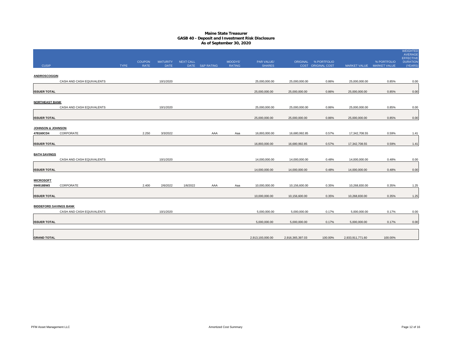|                               |                           |             |                              |                                |                  |                 |                          |                             |                  |                                            |                           |             | <b>WEIGHTED</b><br><b>AVERAGE</b>             |
|-------------------------------|---------------------------|-------------|------------------------------|--------------------------------|------------------|-----------------|--------------------------|-----------------------------|------------------|--------------------------------------------|---------------------------|-------------|-----------------------------------------------|
| <b>CUSIP</b>                  |                           | <b>TYPE</b> | <b>COUPON</b><br><b>RATE</b> | <b>MATURITY</b><br><b>DATE</b> | <b>NEXT CALL</b> | DATE S&P RATING | MOODYS'<br><b>RATING</b> | PAR VALUE/<br><b>SHARES</b> |                  | ORIGINAL % PORTFOLIO<br>COST ORIGINAL COST | MARKET VALUE MARKET VALUE | % PORTFOLIO | <b>EFFECTIVE</b><br><b>DURATION</b><br>(YEARS |
|                               |                           |             |                              |                                |                  |                 |                          |                             |                  |                                            |                           |             |                                               |
| ANDROSCOGGIN                  |                           |             |                              |                                |                  |                 |                          |                             |                  |                                            |                           |             |                                               |
|                               | CASH AND CASH EQUIVALENTS |             |                              | 10/1/2020                      |                  |                 |                          | 25,000,000.00               | 25,000,000.00    | 0.86%                                      | 25,000,000.00             | 0.85%       | 0.00                                          |
|                               |                           |             |                              |                                |                  |                 |                          |                             |                  |                                            |                           |             |                                               |
| <b>ISSUER TOTAL</b>           |                           |             |                              |                                |                  |                 |                          | 25,000,000.00               | 25,000,000.00    | 0.86%                                      | 25,000,000.00             | 0.85%       | 0.00                                          |
|                               |                           |             |                              |                                |                  |                 |                          |                             |                  |                                            |                           |             |                                               |
| <b>NORTHEAST BANK</b>         |                           |             |                              |                                |                  |                 |                          |                             |                  |                                            |                           |             |                                               |
|                               | CASH AND CASH EQUIVALENTS |             |                              | 10/1/2020                      |                  |                 |                          | 25.000.000.00               | 25,000,000.00    | 0.86%                                      | 25,000,000.00             | 0.85%       | 0.00                                          |
| <b>ISSUER TOTAL</b>           |                           |             |                              |                                |                  |                 |                          | 25,000,000.00               | 25,000,000.00    | 0.86%                                      | 25,000,000.00             | 0.85%       | 0.00                                          |
|                               |                           |             |                              |                                |                  |                 |                          |                             |                  |                                            |                           |             |                                               |
| <b>JOHNSON &amp; JOHNSON</b>  |                           |             |                              |                                |                  |                 |                          |                             |                  |                                            |                           |             |                                               |
| 478160CD4                     | CORPORATE                 |             | 2.250                        | 3/3/2022                       |                  | AAA             | Aaa                      | 16,893,000.00               | 16,680,992.85    | 0.57%                                      | 17,342,708.55             | 0.59%       | 1.41                                          |
|                               |                           |             |                              |                                |                  |                 |                          |                             |                  |                                            |                           |             |                                               |
| <b>ISSUER TOTAL</b>           |                           |             |                              |                                |                  |                 |                          | 16,893,000.00               | 16,680,992.85    | 0.57%                                      | 17,342,708.55             | 0.59%       | 1.41                                          |
|                               |                           |             |                              |                                |                  |                 |                          |                             |                  |                                            |                           |             |                                               |
| <b>BATH SAVINGS</b>           |                           |             |                              |                                |                  |                 |                          |                             |                  |                                            |                           |             |                                               |
|                               | CASH AND CASH EQUIVALENTS |             |                              | 10/1/2020                      |                  |                 |                          | 14,000,000.00               | 14,000,000.00    | 0.48%                                      | 14,000,000.00             | 0.48%       | 0.00                                          |
| <b>ISSUER TOTAL</b>           |                           |             |                              |                                |                  |                 |                          | 14,000,000.00               | 14,000,000.00    | 0.48%                                      | 14,000,000.00             | 0.48%       | 0.00                                          |
|                               |                           |             |                              |                                |                  |                 |                          |                             |                  |                                            |                           |             |                                               |
| <b>MICROSOFT</b>              |                           |             |                              |                                |                  |                 |                          |                             |                  |                                            |                           |             |                                               |
| 594918BW3                     | CORPORATE                 |             | 2.400                        | 2/6/2022                       | 1/6/2022         | AAA             | Aaa                      | 10,000,000.00               | 10,156,600.00    | 0.35%                                      | 10,268,830.00             | 0.35%       | 1.25                                          |
|                               |                           |             |                              |                                |                  |                 |                          |                             |                  |                                            |                           |             |                                               |
| <b>ISSUER TOTAL</b>           |                           |             |                              |                                |                  |                 |                          | 10,000,000.00               | 10,156,600.00    | 0.35%                                      | 10,268,830.00             | 0.35%       | 1.25                                          |
|                               |                           |             |                              |                                |                  |                 |                          |                             |                  |                                            |                           |             |                                               |
| <b>BIDDEFORD SAVINGS BANK</b> |                           |             |                              |                                |                  |                 |                          |                             |                  |                                            |                           |             |                                               |
|                               | CASH AND CASH EQUIVALENTS |             |                              | 10/1/2020                      |                  |                 |                          | 5,000,000.00                | 5,000,000.00     | 0.17%                                      | 5,000,000.00              | 0.17%       | 0.00                                          |
| <b>ISSUER TOTAL</b>           |                           |             |                              |                                |                  |                 |                          | 5,000,000.00                | 5,000,000.00     | 0.17%                                      | 5,000,000.00              | 0.17%       | 0.00                                          |
|                               |                           |             |                              |                                |                  |                 |                          |                             |                  |                                            |                           |             |                                               |
|                               |                           |             |                              |                                |                  |                 |                          |                             |                  |                                            |                           |             |                                               |
| <b>GRAND TOTAL</b>            |                           |             |                              |                                |                  |                 |                          | 2,913,193,000.00            | 2,916,365,397.03 | 100.00%                                    | 2,933,911,771.60          | 100.00%     |                                               |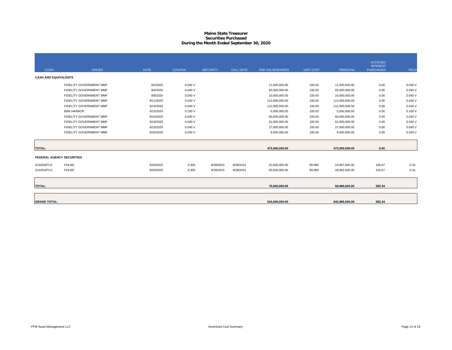## **Maine State Treasurer Securities PurchasedDuring the Month Ended September 30, 2020**

|                                  |                         |             |               |                 |                  |                         |                  |                | <b>ACCRUED</b><br><b>INTEREST</b> |        |
|----------------------------------|-------------------------|-------------|---------------|-----------------|------------------|-------------------------|------------------|----------------|-----------------------------------|--------|
| <b>CUSIP</b>                     | <b>ISSUER</b>           | <b>DATE</b> | <b>COUPON</b> | <b>MATURITY</b> | <b>CALL DATE</b> | <b>PAR VALUE/SHARES</b> | <b>UNIT COST</b> | PRINCIPAL      | <b>PURCHASED</b>                  | YIELD  |
| <b>CASH AND EQUIVALENTS</b>      |                         |             |               |                 |                  |                         |                  |                |                                   |        |
|                                  | FIDELITY GOVERNMENT MMF | 9/2/2020    | 0.040V        |                 |                  | 11,000,000.00           | 100.00           | 11,000,000.00  | 0.00                              | 0.040V |
|                                  | FIDELITY GOVERNMENT MMF | 9/4/2020    | 0.040V        |                 |                  | 65,000,000.00           | 100.00           | 65,000,000.00  | 0.00                              | 0.040V |
|                                  | FIDELITY GOVERNMENT MMF | 9/9/2020    | 0.040V        |                 |                  | 10,000,000.00           | 100.00           | 10,000,000.00  | 0.00                              | 0.040V |
|                                  | FIDELITY GOVERNMENT MMF | 9/11/2020   | 0.040V        |                 |                  | 113,000,000.00          | 100.00           | 113,000,000.00 | 0.00                              | 0.040V |
|                                  | FIDELITY GOVERNMENT MMF | 9/15/2020   | 0.040V        |                 |                  | 112,000,000.00          | 100.00           | 112,000,000.00 | 0.00                              | 0.040V |
|                                  | <b>BAR HARBOR</b>       | 9/15/2020   | 0.100V        |                 |                  | 5,000,000.00            | 100.00           | 5,000,000.00   | 0.00                              | 0.100V |
|                                  | FIDELITY GOVERNMENT MMF | 9/16/2020   | 0.040V        |                 |                  | 60,000,000.00           | 100.00           | 60,000,000.00  | 0.00                              | 0.040V |
|                                  | FIDELITY GOVERNMENT MMF | 9/18/2020   | 0.040V        |                 |                  | 61,000,000.00           | 100.00           | 61,000,000.00  | 0.00                              | 0.040V |
|                                  | FIDELITY GOVERNMENT MMF | 9/23/2020   | 0.040V        |                 |                  | 27,000,000.00           | 100.00           | 27,000,000.00  | 0.00                              | 0.040V |
|                                  | FIDELITY GOVERNMENT MMF | 9/30/2020   | 0.040V        |                 |                  | 9,000,000.00            | 100.00           | 9,000,000.00   | 0.00                              | 0.040V |
|                                  |                         |             |               |                 |                  |                         |                  |                |                                   |        |
| <b>TOTAL:</b>                    |                         |             |               |                 |                  | 473,000,000.00          |                  | 473,000,000.00 | 0.00                              |        |
| <b>FEDERAL AGENCY SECURITIES</b> |                         |             |               |                 |                  |                         |                  |                |                                   |        |
| 3134GWTL0                        | <b>FHLMC</b>            | 9/29/2020   | 0.300         | 9/28/2023       | 9/28/2021        | 20,000,000.00           | 99.985           | 19,997,000.00  | 166.67                            | 0.31   |
| 3134GWTL0.                       | <b>FHLMC</b>            | 9/29/2020   | 0.300         | 9/28/2023       | 9/28/2021        | 50,000,000.00           | 99.985           | 49,992,500.00  | 416.67                            | 0.31   |
|                                  |                         |             |               |                 |                  |                         |                  |                |                                   |        |
| <b>TOTAL:</b>                    |                         |             |               |                 |                  | 70,000,000.00           |                  | 69,989,500.00  | 583.34                            |        |
|                                  |                         |             |               |                 |                  |                         |                  |                |                                   |        |
|                                  |                         |             |               |                 |                  |                         |                  |                |                                   |        |
| <b>GRAND TOTAL:</b>              |                         |             |               |                 |                  | 543,000,000.00          |                  | 542,989,500.00 | 583.34                            |        |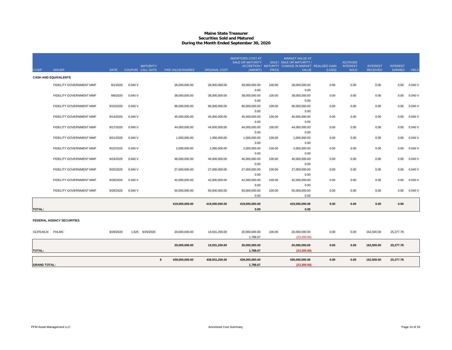## **Maine State Treasurer Securities Sold and MaturedDuring the Month Ended September 30, 2020**

| <b>GRAND TOTAL:</b> |                                  |             |                                      | \$<br>439,000,000.00 | 438,931,200.00       | 439,000,000.00<br>1,788.67                   |              | 439,000,000.00<br>(23, 300.00)                               | 0.00   | 0.00                           | 162,500.00                         | 25,277.78                 |              |
|---------------------|----------------------------------|-------------|--------------------------------------|----------------------|----------------------|----------------------------------------------|--------------|--------------------------------------------------------------|--------|--------------------------------|------------------------------------|---------------------------|--------------|
|                     |                                  |             |                                      |                      |                      |                                              |              |                                                              |        |                                |                                    |                           |              |
| <b>TOTAL:</b>       |                                  |             |                                      | 20,000,000.00        | 19,931,200.00        | 20,000,000.00<br>1,788.67                    |              | 20,000,000.00<br>(23,300.00)                                 | 0.00   | 0.00                           | 162,500.00                         | 25,277.78                 |              |
| 3137EAEJ4 FHLMC     |                                  | 9/29/2020   | 1.625<br>9/29/2020                   | 20,000,000.00        | 19,931,200.00        | 20,000,000.00<br>1,788.67                    | 100.00       | 20,000,000.00<br>(23,300.00)                                 | 0.00   | 0.00                           | 162,500.00                         | 25,277.78                 |              |
|                     | <b>FEDERAL AGENCY SECURITIES</b> |             |                                      |                      |                      |                                              |              |                                                              |        |                                |                                    |                           |              |
| <b>TOTAL:</b>       |                                  |             |                                      |                      |                      | 0.00                                         |              | 0.00                                                         |        |                                |                                    |                           |              |
|                     |                                  |             |                                      | 419,000,000.00       | 419,000,000.00       | 419,000,000.00                               |              | 419,000,000.00                                               | 0.00   | 0.00                           | 0.00                               | 0.00                      |              |
|                     |                                  |             |                                      |                      |                      | 0.00                                         |              | 0.00                                                         |        |                                |                                    |                           |              |
|                     | <b>FIDELITY GOVERNMENT MMF</b>   | 9/29/2020   | 0.040V                               | 50,000,000.00        | 50,000,000.00        | 0.00<br>50,000,000.00                        | 100.00       | 0.00<br>50,000,000.00                                        | 0.00   | 0.00                           | 0.00                               | 0.00                      | 0.040V       |
|                     | FIDELITY GOVERNMENT MMF          | 9/28/2020   | 0.040V                               | 42,000,000.00        | 42,000,000.00        | 42,000,000.00                                | 100.00       | 42,000,000.00                                                | 0.00   | 0.00                           | 0.00                               | 0.00                      | 0.040V       |
|                     | FIDELITY GOVERNMENT MMF          | 9/25/2020   | 0.040V                               | 27,000,000.00        | 27,000,000.00        | 27,000,000.00<br>0.00                        | 100.00       | 27,000,000.00<br>0.00                                        | 0.00   | 0.00                           | 0.00                               | 0.00                      | 0.040V       |
|                     |                                  |             |                                      |                      |                      | 0.00                                         |              | 0.00                                                         |        |                                |                                    |                           |              |
|                     | FIDELITY GOVERNMENT MMF          | 9/24/2020   | 0.040V                               | 46,000,000.00        | 46,000,000.00        | 46,000,000.00                                | 100.00       | 46,000,000.00                                                | 0.00   | 0.00                           | 0.00                               | 0.00                      | 0.040V       |
|                     | FIDELITY GOVERNMENT MMF          | 9/22/2020   | 0.040V                               | 2,000,000.00         | 2,000,000.00         | 2,000,000.00<br>0.00                         | 100.00       | 2,000,000.00<br>0.00                                         | 0.00   | 0.00                           | 0.00                               | 0.00                      | 0.040V       |
|                     |                                  |             |                                      |                      |                      | 0.00                                         |              | 0.00                                                         |        |                                |                                    |                           |              |
|                     | <b>FIDELITY GOVERNMENT MMF</b>   | 9/21/2020   | 0.040V                               | 1,000,000.00         | 1,000,000.00         | 1,000,000.00                                 | 100.00       | 1,000,000.00                                                 | 0.00   | 0.00                           | 0.00                               | 0.00                      | 0.040V       |
|                     |                                  |             |                                      |                      |                      | 0.00                                         |              | 0.00                                                         |        |                                |                                    |                           |              |
|                     | FIDELITY GOVERNMENT MMF          | 9/17/2020   | 0.040V                               | 44,000,000.00        | 44,000,000.00        | 0.00<br>44,000,000.00                        | 100.00       | 0.00<br>44,000,000.00                                        | 0.00   | 0.00                           | 0.00                               | 0.00                      | 0.040V       |
|                     | FIDELITY GOVERNMENT MMF          | 9/14/2020   | 0.040V                               | 45,000,000.00        | 45,000,000.00        | 45,000,000.00                                | 100.00       | 45,000,000.00                                                | 0.00   | 0.00                           | 0.00                               | 0.00                      | 0.040V       |
|                     |                                  |             |                                      |                      |                      | 0.00                                         |              | 0.00                                                         |        |                                |                                    |                           |              |
|                     | FIDELITY GOVERNMENT MMF          | 9/10/2020   | 0.040V                               | 96,000,000.00        | 96,000,000.00        | 0.00<br>96,000,000.00                        | 100.00       | 0.00<br>96,000,000.00                                        | 0.00   | 0.00                           | 0.00                               | 0.00                      | 0.040V       |
|                     | FIDELITY GOVERNMENT MMF          | 9/8/2020    | 0.040V                               | 38,000,000.00        | 38,000,000.00        | 38,000,000.00                                | 100.00       | 38,000,000.00                                                | 0.00   | 0.00                           | 0.00                               | 0.00                      | 0.040V       |
|                     |                                  |             |                                      |                      |                      | 0.00                                         |              | 0.00                                                         |        |                                |                                    |                           |              |
|                     | FIDELITY GOVERNMENT MMF          | 9/1/2020    | 0.040V                               | 28,000,000.00        | 28,000,000.00        | 28,000,000.00                                | 100.00       | 28,000,000.00                                                | 0.00   | 0.00                           | 0.00                               | 0.00                      | 0.040V       |
|                     | <b>CASH AND EQUIVALENTS</b>      |             |                                      |                      |                      |                                              |              |                                                              |        |                                |                                    |                           |              |
| <b>CUSIP</b>        | <b>ISSUER</b>                    | <b>DATE</b> | <b>MATURITY/</b><br>COUPON CALL DATE | PAR VALUE/SHARES     | <b>ORIGINAL COST</b> | (AMORT)                                      | <b>PRICE</b> | ACCRETION / MATURITY CHANGE IN MARKET REALIZED GAIN<br>VALUE | (LOSS) | <b>INTEREST</b><br><b>SOLD</b> | <b>INTEREST</b><br><b>RECEIVED</b> | <b>INTEREST</b><br>EARNED | <b>YIELD</b> |
|                     |                                  |             |                                      |                      |                      | AMORTIZED COST AT<br><b>SALE OR MATURITY</b> |              | <b>MARKET VALUE AT</b><br>SALE / SALE OR MATURITY /          |        | <b>ACCRUED</b>                 |                                    |                           |              |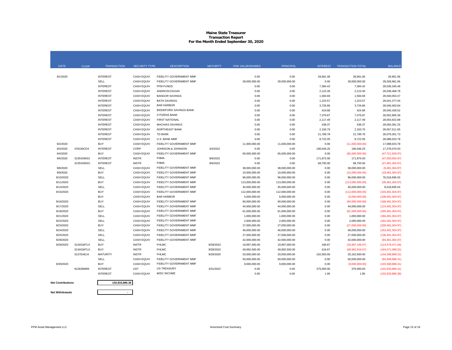#### **Maine State Treasurer Transaction Report For the Month Ended September 30, 2020**

| <b>DATE</b> | <b>CUSIP</b> | <b>TRANSACTION</b> | <b>SECURITY TYPE</b> | <b>DESCRIPTION</b>            | <b>MATURITY</b> | <b>PAR VALUE/SHARES</b> | <b>PRINCIPAL</b> | <b>INTEREST</b> | <b>TRANSACTION TOTAL</b> | <b>BALANCE</b>     |
|-------------|--------------|--------------------|----------------------|-------------------------------|-----------------|-------------------------|------------------|-----------------|--------------------------|--------------------|
|             |              |                    |                      |                               |                 |                         |                  |                 |                          |                    |
| 9/1/2020    |              | <b>INTEREST</b>    | <b>CASH EQUIV</b>    | FIDELITY GOVERNMENT MMF       |                 | 0.00                    | 0.00             | 28,961.06       | 28,961.06                | 28,961.06          |
|             |              | SELL               | <b>CASH EQUIV</b>    | FIDELITY GOVERNMENT MMF       |                 | 28,000,000.00           | 28,000,000.00    | 0.00            | 28,000,000.00            | 28,028,961.06      |
|             |              | <b>INTEREST</b>    | <b>CASH EQUIV</b>    | PFM FUNDS                     |                 | 0.00                    | 0.00             | 7,384.42        | 7,384.42                 | 28,036,345.48      |
|             |              | <b>INTEREST</b>    | <b>CASH EQUIV</b>    | <b>ANDROSCOGGIN</b>           |                 | 0.00                    | 0.00             | 2,123.30        | 2,123.30                 | 28,038,468.78      |
|             |              | <b>INTEREST</b>    | <b>CASH EQUIV</b>    | <b>BANGOR SAVINGS</b>         |                 | 0.00                    | 0.00             | 1,584.69        | 1,584.69                 | 28,040,053.47      |
|             |              | <b>INTEREST</b>    | <b>CASH EQUIV</b>    | <b>BATH SAVINGS</b>           |                 | 0.00                    | 0.00             | 1,223.57        | 1,223.57                 | 28.041.277.04      |
|             |              | <b>INTEREST</b>    | <b>CASH EQUIV</b>    | <b>BAR HARBOR</b>             |                 | 0.00                    | 0.00             | 3,726.80        | 3,726.80                 | 28,045,003.84      |
|             |              | <b>INTEREST</b>    | <b>CASH EQUIV</b>    | <b>BIDDEFORD SAVINGS BANK</b> |                 | 0.00                    | 0.00             | 424.68          | 424.68                   | 28,045,428.52      |
|             |              | <b>INTEREST</b>    | <b>CASH EQUIV</b>    | <b>CITIZENS BANK</b>          |                 | 0.00                    | 0.00             | 7,376.87        | 7,376.87                 | 28,052,805.39      |
|             |              | <b>INTEREST</b>    | <b>CASH EQUIV</b>    | <b>FIRST NATIONAL</b>         |                 | 0.00                    | 0.00             | 2,117.49        | 2,117.49                 | 28,054,922.88      |
|             |              | <b>INTEREST</b>    | <b>CASH EQUIV</b>    | <b>MACHIAS SAVINGS</b>        |                 | 0.00                    | 0.00             | 438.37          | 438.37                   | 28,055,361.25      |
|             |              | <b>INTEREST</b>    | <b>CASH EQUIV</b>    | NORTHEAST BANK                |                 | 0.00                    | 0.00             | 2,150.70        | 2,150.70                 | 28.057.511.95      |
|             |              | <b>INTEREST</b>    | <b>CASH EQUIV</b>    | TD BANK                       |                 | 0.00                    | 0.00             | 21,789.78       | 21,789.78                | 28,079,301.73      |
|             |              | <b>INTEREST</b>    | <b>CASH EQUIV</b>    | U.S. BANK MMF                 |                 | 0.00                    | 0.00             | 8,722.05        | 8,722.05                 | 28,088,023.78      |
| 9/2/2020    |              | <b>BUY</b>         | <b>CASH EQUIV</b>    | FIDELITY GOVERNMENT MMF       |                 | 11,000,000.00           | 11,000,000.00    | 0.00            | (11,000,000.00)          | 17,088,023.78      |
| 9/3/2020    | 478160CD4    | <b>INTEREST</b>    | CORP                 | JOHNSON & JOHNSON             | 3/3/2022        | 0.00                    | 0.00             | 190,046.25      | 190,046.25               | 17,278,070.03      |
| 9/4/2020    |              | <b>BUY</b>         | <b>CASH EQUIV</b>    | FIDELITY GOVERNMENT MMF       |                 | 65,000,000.00           | 65,000,000.00    | 0.00            | (65,000,000.00)          | (47, 721, 929.97)  |
| 9/6/2020    | 3135G0W33    | <b>INTEREST</b>    | <b>INSTR</b>         | <b>FNMA</b>                   | 9/6/2022        | 0.00                    | 0.00             | 171,875.00      | 171,875.00               | (47,550,054.97)    |
|             | 3135G0W33    | <b>INTEREST</b>    | <b>INSTR</b>         | <b>FNMA</b>                   | 9/6/2022        | 0.00                    | 0.00             | 68,750.00       | 68,750.00                | (47, 481, 304.97)  |
| 9/8/2020    |              | <b>SELL</b>        | <b>CASH EQUIV</b>    | FIDELITY GOVERNMENT MMF       |                 | 38.000.000.00           | 38,000,000.00    | 0.00            | 38,000,000.00            | (9,481,304.97)     |
| 9/9/2020    |              | <b>BUY</b>         | <b>CASH EQUIV</b>    | FIDELITY GOVERNMENT MMF       |                 | 10,000,000.00           | 10,000,000.00    | 0.00            | (10,000,000.00)          | (19, 481, 304.97)  |
| 9/10/2020   |              | <b>SELL</b>        | <b>CASH EQUIV</b>    | FIDELITY GOVERNMENT MMF       |                 | 96.000.000.00           | 96,000,000.00    | 0.00            | 96,000,000.00            | 76,518,695.03      |
| 9/11/2020   |              | <b>BUY</b>         | <b>CASH EQUIV</b>    | FIDELITY GOVERNMENT MMF       |                 | 113.000.000.00          | 113.000.000.00   | 0.00            | (113,000,000.00)         | (36.481.304.97)    |
| 9/14/2020   |              | SELL               | <b>CASH EQUIV</b>    | FIDELITY GOVERNMENT MMF       |                 | 45,000,000.00           | 45,000,000.00    | 0.00            | 45,000,000.00            | 8,518,695.03       |
| 9/15/2020   |              | <b>BUY</b>         | <b>CASH EQUIV</b>    | FIDELITY GOVERNMENT MMF       |                 | 112,000,000.00          | 112,000,000.00   | 0.00            | (112,000,000.00)         | (103, 481, 304.97) |
|             |              | <b>BUY</b>         | <b>CASH EQUIV</b>    | <b>BAR HARBOR</b>             |                 | 5,000,000.00            | 5,000,000.00     | 0.00            | (5,000,000.00)           | (108, 481, 304.97) |
| 9/16/2020   |              | <b>BUY</b>         | <b>CASH EQUIV</b>    | FIDELITY GOVERNMENT MMF       |                 | 60,000,000.00           | 60,000,000.00    | 0.00            | (60,000,000,00)          | (168, 481, 304.97) |
| 9/17/2020   |              | SELL               | <b>CASH EQUIV</b>    | FIDELITY GOVERNMENT MMF       |                 | 44,000,000.00           | 44,000,000.00    | 0.00            | 44,000,000.00            | (124, 481, 304.97) |
| 9/18/2020   |              | <b>BUY</b>         | <b>CASH EQUIV</b>    | FIDELITY GOVERNMENT MMF       |                 | 61,000,000.00           | 61,000,000.00    | 0.00            | (61,000,000.00)          | (185, 481, 304.97) |
| 9/21/2020   |              | <b>SELL</b>        | <b>CASH EQUIV</b>    | FIDELITY GOVERNMENT MMF       |                 | 1,000,000.00            | 1,000,000.00     | 0.00            | 1,000,000.00             | (184, 481, 304.97) |
| 9/22/2020   |              | SELL               | <b>CASH EQUIV</b>    | FIDELITY GOVERNMENT MMF       |                 | 2,000,000.00            | 2,000,000.00     | 0.00            | 2,000,000.00             | (182, 481, 304.97) |
| 9/23/2020   |              | <b>BUY</b>         | <b>CASH EQUIV</b>    | FIDELITY GOVERNMENT MMF       |                 | 27,000,000.00           | 27,000,000.00    | 0.00            | (27,000,000.00)          | (209, 481, 304.97) |
| 9/24/2020   |              | <b>SELL</b>        | <b>CASH EQUIV</b>    | FIDELITY GOVERNMENT MMF       |                 | 46.000.000.00           | 46.000.000.00    | 0.00            | 46.000.000.00            | (163.481.304.97)   |
| 9/25/2020   |              | SELL               | <b>CASH EQUIV</b>    | FIDELITY GOVERNMENT MMF       |                 | 27,000,000.00           | 27,000,000.00    | 0.00            | 27,000,000.00            | (136, 481, 304.97) |
| 9/28/2020   |              | SELL               | <b>CASH EQUIV</b>    | FIDELITY GOVERNMENT MMF       |                 | 42,000,000.00           | 42,000,000.00    | 0.00            | 42,000,000.00            | (94, 481, 304.97)  |
| 9/29/2020   | 3134GWTL0    | <b>BUY</b>         | <b>INSTR</b>         | <b>FHLMC</b>                  | 9/28/2023       | 19,997,000.00           | 19,997,000.00    | 166.67          | (19,997,166.67)          | (114, 478, 471.64) |
|             | 3134GWTL0    | <b>BUY</b>         | <b>INSTR</b>         | <b>FHLMC</b>                  | 9/28/2023       | 49,992,500.00           | 49,992,500.00    | 416.67          | (49,992,916.67)          | (164, 471, 388.31) |
|             | 3137EAEJ4    | <b>MATURITY</b>    | <b>INSTR</b>         | <b>FHLMC</b>                  | 9/29/2020       | 20,000,000.00           | 20,000,000.00    | 162,500.00      | 20,162,500.00            | (144, 308, 888.31) |
|             |              | SELL               | <b>CASH EQUIV</b>    | FIDELITY GOVERNMENT MMF       |                 | 50,000,000.00           | 50,000,000.00    | 0.00            | 50,000,000.00            | (94,308,888.31)    |
| 9/30/2020   |              | <b>BUY</b>         | <b>CASH EQUIV</b>    | FIDELITY GOVERNMENT MMF       |                 | 9,000,000.00            | 9,000,000.00     | 0.00            | (9,000,000.00)           | (103, 308, 888.31) |
|             | 912828W89    | <b>INTEREST</b>    | <b>UST</b>           | <b>US TREASURY</b>            | 3/31/2022       | 0.00                    | 0.00             | 375,000.00      | 375,000.00               | (102.933.888.31)   |
|             |              | <b>INTEREST</b>    | <b>CASH EQUIV</b>    | <b>MISC INCOME</b>            |                 | 0.00                    | 0.00             | 1.95            | 1.95                     | (102, 933, 886.36) |





**-**

**Net Withdrawals**